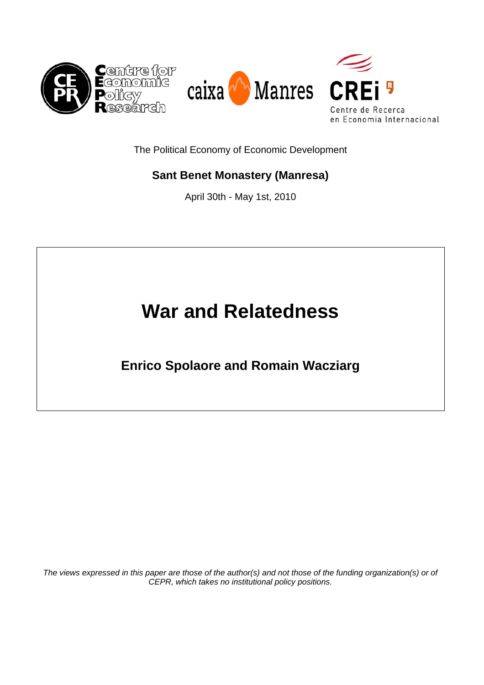

The Political Economy of Economic Development

# **Sant Benet Monastery (Manresa)**

April 30th - May 1st, 2010

# **War and Relatedness**

**Enrico Spolaore and Romain Wacziarg** 

*The views expressed in this paper are those of the author(s) and not those of the funding organization(s) or of CEPR, which takes no institutional policy positions.*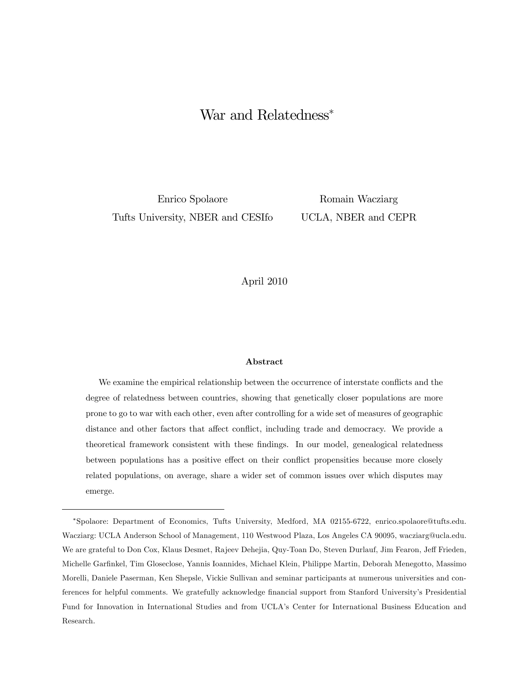# War and Relatedness<sup>∗</sup>

Enrico Spolaore Tufts University, NBER and CESIfo

Romain Wacziarg UCLA, NBER and CEPR

## April 2010

#### Abstract

We examine the empirical relationship between the occurrence of interstate conflicts and the degree of relatedness between countries, showing that genetically closer populations are more prone to go to war with each other, even after controlling for a wide set of measures of geographic distance and other factors that affect conflict, including trade and democracy. We provide a theoretical framework consistent with these findings. In our model, genealogical relatedness between populations has a positive effect on their conflict propensities because more closely related populations, on average, share a wider set of common issues over which disputes may emerge.

<sup>∗</sup>Spolaore: Department of Economics, Tufts University, Medford, MA 02155-6722, enrico.spolaore@tufts.edu. Wacziarg: UCLA Anderson School of Management, 110 Westwood Plaza, Los Angeles CA 90095, wacziarg@ucla.edu. We are grateful to Don Cox, Klaus Desmet, Rajeev Dehejia, Quy-Toan Do, Steven Durlauf, Jim Fearon, Jeff Frieden, Michelle Garfinkel, Tim Gloseclose, Yannis Ioannides, Michael Klein, Philippe Martin, Deborah Menegotto, Massimo Morelli, Daniele Paserman, Ken Shepsle, Vickie Sullivan and seminar participants at numerous universities and conferences for helpful comments. We gratefully acknowledge financial support from Stanford University's Presidential Fund for Innovation in International Studies and from UCLA's Center for International Business Education and Research.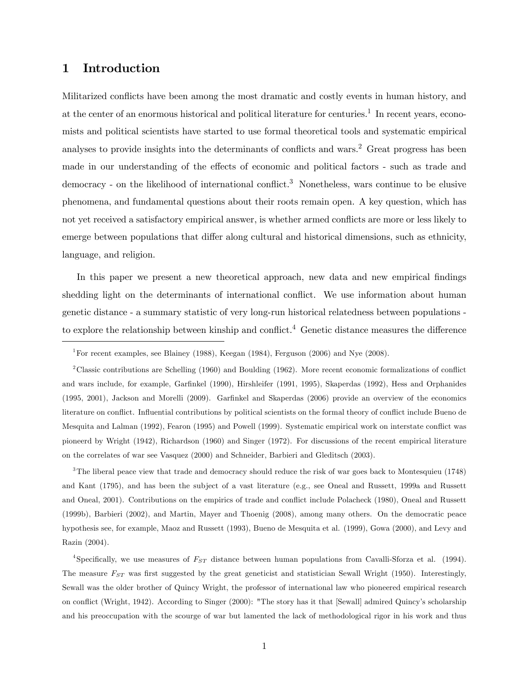# 1 Introduction

Militarized conflicts have been among the most dramatic and costly events in human history, and at the center of an enormous historical and political literature for centuries.<sup>1</sup> In recent years, economists and political scientists have started to use formal theoretical tools and systematic empirical analyses to provide insights into the determinants of conflicts and wars.<sup>2</sup> Great progress has been made in our understanding of the effects of economic and political factors - such as trade and democracy - on the likelihood of international conflict.<sup>3</sup> Nonetheless, wars continue to be elusive phenomena, and fundamental questions about their roots remain open. A key question, which has not yet received a satisfactory empirical answer, is whether armed conflicts are more or less likely to emerge between populations that differ along cultural and historical dimensions, such as ethnicity, language, and religion.

In this paper we present a new theoretical approach, new data and new empirical findings shedding light on the determinants of international conflict. We use information about human genetic distance - a summary statistic of very long-run historical relatedness between populations to explore the relationship between kinship and conflict.<sup>4</sup> Genetic distance measures the difference

2Classic contributions are Schelling (1960) and Boulding (1962). More recent economic formalizations of conflict and wars include, for example, Garfinkel (1990), Hirshleifer (1991, 1995), Skaperdas (1992), Hess and Orphanides (1995, 2001), Jackson and Morelli (2009). Garfinkel and Skaperdas (2006) provide an overview of the economics literature on conflict. Influential contributions by political scientists on the formal theory of conflict include Bueno de Mesquita and Lalman (1992), Fearon (1995) and Powell (1999). Systematic empirical work on interstate conflict was pioneerd by Wright (1942), Richardson (1960) and Singer (1972). For discussions of the recent empirical literature on the correlates of war see Vasquez (2000) and Schneider, Barbieri and Gleditsch (2003).

<sup>3</sup>The liberal peace view that trade and democracy should reduce the risk of war goes back to Montesquieu (1748) and Kant (1795), and has been the subject of a vast literature (e.g., see Oneal and Russett, 1999a and Russett and Oneal, 2001). Contributions on the empirics of trade and conflict include Polacheck (1980), Oneal and Russett (1999b), Barbieri (2002), and Martin, Mayer and Thoenig (2008), among many others. On the democratic peace hypothesis see, for example, Maoz and Russett (1993), Bueno de Mesquita et al. (1999), Gowa (2000), and Levy and Razin (2004).

<sup>4</sup>Specifically, we use measures of  $F_{ST}$  distance between human populations from Cavalli-Sforza et al. (1994). The measure  $F_{ST}$  was first suggested by the great geneticist and statistician Sewall Wright (1950). Interestingly, Sewall was the older brother of Quincy Wright, the professor of international law who pioneered empirical research on conflict (Wright, 1942). According to Singer (2000): "The story has it that [Sewall] admired Quincy's scholarship and his preoccupation with the scourge of war but lamented the lack of methodological rigor in his work and thus

<sup>&</sup>lt;sup>1</sup>For recent examples, see Blainey (1988), Keegan (1984), Ferguson (2006) and Nye (2008).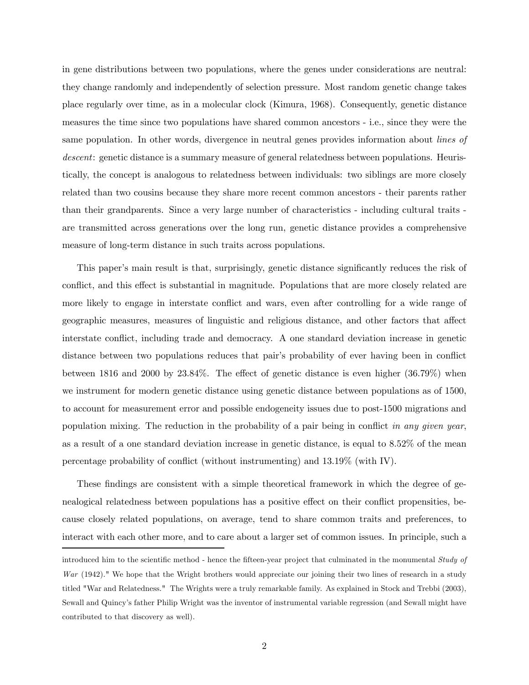in gene distributions between two populations, where the genes under considerations are neutral: they change randomly and independently of selection pressure. Most random genetic change takes place regularly over time, as in a molecular clock (Kimura, 1968). Consequently, genetic distance measures the time since two populations have shared common ancestors - i.e., since they were the same population. In other words, divergence in neutral genes provides information about lines of descent: genetic distance is a summary measure of general relatedness between populations. Heuristically, the concept is analogous to relatedness between individuals: two siblings are more closely related than two cousins because they share more recent common ancestors - their parents rather than their grandparents. Since a very large number of characteristics - including cultural traits are transmitted across generations over the long run, genetic distance provides a comprehensive measure of long-term distance in such traits across populations.

This paper's main result is that, surprisingly, genetic distance significantly reduces the risk of conflict, and this effect is substantial in magnitude. Populations that are more closely related are more likely to engage in interstate conflict and wars, even after controlling for a wide range of geographic measures, measures of linguistic and religious distance, and other factors that affect interstate conflict, including trade and democracy. A one standard deviation increase in genetic distance between two populations reduces that pair's probability of ever having been in conflict between 1816 and 2000 by 23.84%. The effect of genetic distance is even higher (36.79%) when we instrument for modern genetic distance using genetic distance between populations as of 1500, to account for measurement error and possible endogeneity issues due to post-1500 migrations and population mixing. The reduction in the probability of a pair being in conflict in any given year, as a result of a one standard deviation increase in genetic distance, is equal to 8.52% of the mean percentage probability of conflict (without instrumenting) and 13.19% (with IV).

These findings are consistent with a simple theoretical framework in which the degree of genealogical relatedness between populations has a positive effect on their conflict propensities, because closely related populations, on average, tend to share common traits and preferences, to interact with each other more, and to care about a larger set of common issues. In principle, such a

introduced him to the scientific method - hence the fifteen-year project that culminated in the monumental Study of  $War$  (1942)." We hope that the Wright brothers would appreciate our joining their two lines of research in a study titled "War and Relatedness." The Wrights were a truly remarkable family. As explained in Stock and Trebbi (2003), Sewall and Quincy's father Philip Wright was the inventor of instrumental variable regression (and Sewall might have contributed to that discovery as well).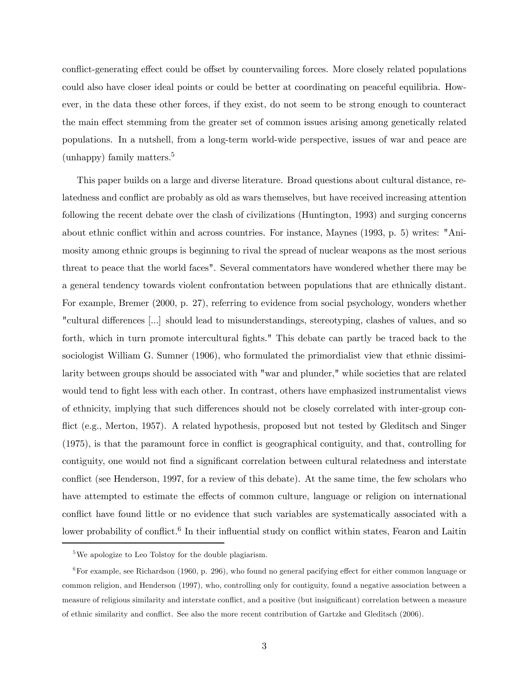conflict-generating effect could be offset by countervailing forces. More closely related populations could also have closer ideal points or could be better at coordinating on peaceful equilibria. However, in the data these other forces, if they exist, do not seem to be strong enough to counteract the main effect stemming from the greater set of common issues arising among genetically related populations. In a nutshell, from a long-term world-wide perspective, issues of war and peace are (unhappy) family matters.5

This paper builds on a large and diverse literature. Broad questions about cultural distance, relatedness and conflict are probably as old as wars themselves, but have received increasing attention following the recent debate over the clash of civilizations (Huntington, 1993) and surging concerns about ethnic conflict within and across countries. For instance, Maynes (1993, p. 5) writes: "Animosity among ethnic groups is beginning to rival the spread of nuclear weapons as the most serious threat to peace that the world faces". Several commentators have wondered whether there may be a general tendency towards violent confrontation between populations that are ethnically distant. For example, Bremer (2000, p. 27), referring to evidence from social psychology, wonders whether "cultural differences [...] should lead to misunderstandings, stereotyping, clashes of values, and so forth, which in turn promote intercultural fights." This debate can partly be traced back to the sociologist William G. Sumner (1906), who formulated the primordialist view that ethnic dissimilarity between groups should be associated with "war and plunder," while societies that are related would tend to fight less with each other. In contrast, others have emphasized instrumentalist views of ethnicity, implying that such differences should not be closely correlated with inter-group conflict (e.g., Merton, 1957). A related hypothesis, proposed but not tested by Gleditsch and Singer (1975), is that the paramount force in conflict is geographical contiguity, and that, controlling for contiguity, one would not find a significant correlation between cultural relatedness and interstate conflict (see Henderson, 1997, for a review of this debate). At the same time, the few scholars who have attempted to estimate the effects of common culture, language or religion on international conflict have found little or no evidence that such variables are systematically associated with a lower probability of conflict.<sup>6</sup> In their influential study on conflict within states, Fearon and Laitin

<sup>&</sup>lt;sup>5</sup>We apologize to Leo Tolstoy for the double plagiarism.

 $6$ For example, see Richardson (1960, p. 296), who found no general pacifying effect for either common language or common religion, and Henderson (1997), who, controlling only for contiguity, found a negative association between a measure of religious similarity and interstate conflict, and a positive (but insignificant) correlation between a measure of ethnic similarity and conflict. See also the more recent contribution of Gartzke and Gleditsch (2006).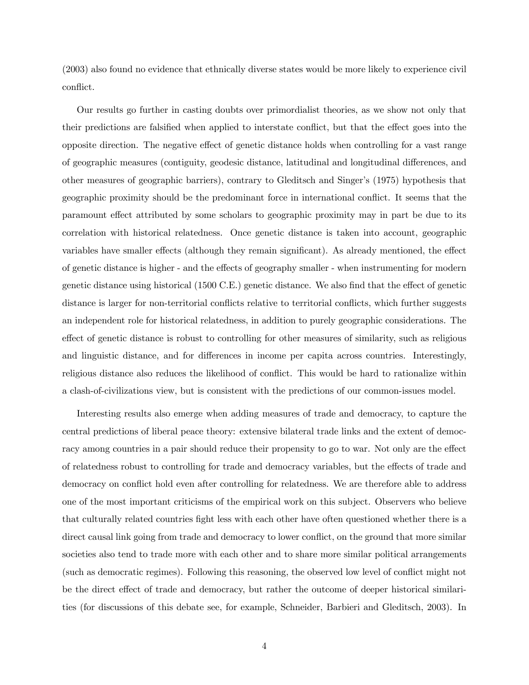(2003) also found no evidence that ethnically diverse states would be more likely to experience civil conflict.

Our results go further in casting doubts over primordialist theories, as we show not only that their predictions are falsified when applied to interstate conflict, but that the effect goes into the opposite direction. The negative effect of genetic distance holds when controlling for a vast range of geographic measures (contiguity, geodesic distance, latitudinal and longitudinal differences, and other measures of geographic barriers), contrary to Gleditsch and Singer's (1975) hypothesis that geographic proximity should be the predominant force in international conflict. It seems that the paramount effect attributed by some scholars to geographic proximity may in part be due to its correlation with historical relatedness. Once genetic distance is taken into account, geographic variables have smaller effects (although they remain significant). As already mentioned, the effect of genetic distance is higher - and the effects of geography smaller - when instrumenting for modern genetic distance using historical (1500 C.E.) genetic distance. We also find that the effect of genetic distance is larger for non-territorial conflicts relative to territorial conflicts, which further suggests an independent role for historical relatedness, in addition to purely geographic considerations. The effect of genetic distance is robust to controlling for other measures of similarity, such as religious and linguistic distance, and for differences in income per capita across countries. Interestingly, religious distance also reduces the likelihood of conflict. This would be hard to rationalize within a clash-of-civilizations view, but is consistent with the predictions of our common-issues model.

Interesting results also emerge when adding measures of trade and democracy, to capture the central predictions of liberal peace theory: extensive bilateral trade links and the extent of democracy among countries in a pair should reduce their propensity to go to war. Not only are the effect of relatedness robust to controlling for trade and democracy variables, but the effects of trade and democracy on conflict hold even after controlling for relatedness. We are therefore able to address one of the most important criticisms of the empirical work on this subject. Observers who believe that culturally related countries fight less with each other have often questioned whether there is a direct causal link going from trade and democracy to lower conflict, on the ground that more similar societies also tend to trade more with each other and to share more similar political arrangements (such as democratic regimes). Following this reasoning, the observed low level of conflict might not be the direct effect of trade and democracy, but rather the outcome of deeper historical similarities (for discussions of this debate see, for example, Schneider, Barbieri and Gleditsch, 2003). In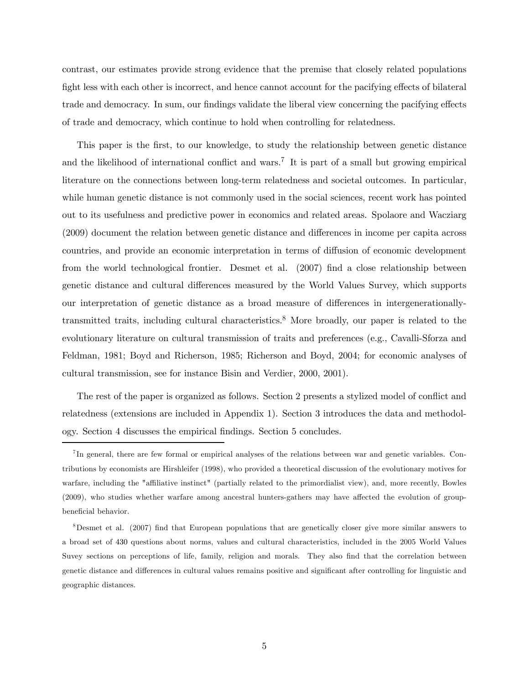contrast, our estimates provide strong evidence that the premise that closely related populations fight less with each other is incorrect, and hence cannot account for the pacifying effects of bilateral trade and democracy. In sum, our findings validate the liberal view concerning the pacifying effects of trade and democracy, which continue to hold when controlling for relatedness.

This paper is the first, to our knowledge, to study the relationship between genetic distance and the likelihood of international conflict and wars.<sup>7</sup> It is part of a small but growing empirical literature on the connections between long-term relatedness and societal outcomes. In particular, while human genetic distance is not commonly used in the social sciences, recent work has pointed out to its usefulness and predictive power in economics and related areas. Spolaore and Wacziarg (2009) document the relation between genetic distance and differences in income per capita across countries, and provide an economic interpretation in terms of diffusion of economic development from the world technological frontier. Desmet et al. (2007) find a close relationship between genetic distance and cultural differences measured by the World Values Survey, which supports our interpretation of genetic distance as a broad measure of differences in intergenerationallytransmitted traits, including cultural characteristics.8 More broadly, our paper is related to the evolutionary literature on cultural transmission of traits and preferences (e.g., Cavalli-Sforza and Feldman, 1981; Boyd and Richerson, 1985; Richerson and Boyd, 2004; for economic analyses of cultural transmission, see for instance Bisin and Verdier, 2000, 2001).

The rest of the paper is organized as follows. Section 2 presents a stylized model of conflict and relatedness (extensions are included in Appendix 1). Section 3 introduces the data and methodology. Section 4 discusses the empirical findings. Section 5 concludes.

<sup>7</sup> In general, there are few formal or empirical analyses of the relations between war and genetic variables. Contributions by economists are Hirshleifer (1998), who provided a theoretical discussion of the evolutionary motives for warfare, including the "affiliative instinct" (partially related to the primordialist view), and, more recently, Bowles (2009), who studies whether warfare among ancestral hunters-gathers may have affected the evolution of groupbeneficial behavior.

<sup>8</sup>Desmet et al. (2007) find that European populations that are genetically closer give more similar answers to a broad set of 430 questions about norms, values and cultural characteristics, included in the 2005 World Values Suvey sections on perceptions of life, family, religion and morals. They also find that the correlation between genetic distance and differences in cultural values remains positive and significant after controlling for linguistic and geographic distances.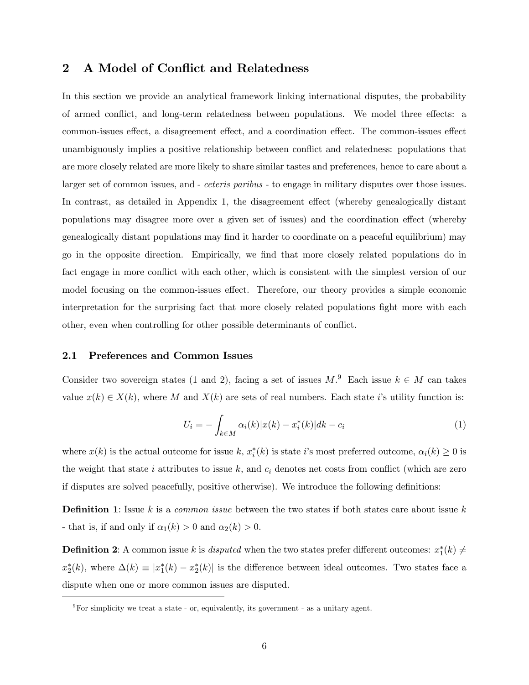# 2 A Model of Conflict and Relatedness

In this section we provide an analytical framework linking international disputes, the probability of armed conflict, and long-term relatedness between populations. We model three effects: a common-issues effect, a disagreement effect, and a coordination effect. The common-issues effect unambiguously implies a positive relationship between conflict and relatedness: populations that are more closely related are more likely to share similar tastes and preferences, hence to care about a larger set of common issues, and - *ceteris paribus* - to engage in military disputes over those issues. In contrast, as detailed in Appendix 1, the disagreement effect (whereby genealogically distant populations may disagree more over a given set of issues) and the coordination effect (whereby genealogically distant populations may find it harder to coordinate on a peaceful equilibrium) may go in the opposite direction. Empirically, we find that more closely related populations do in fact engage in more conflict with each other, which is consistent with the simplest version of our model focusing on the common-issues effect. Therefore, our theory provides a simple economic interpretation for the surprising fact that more closely related populations fight more with each other, even when controlling for other possible determinants of conflict.

#### 2.1 Preferences and Common Issues

Consider two sovereign states (1 and 2), facing a set of issues  $M$ .<sup>9</sup> Each issue  $k \in M$  can takes value  $x(k) \in X(k)$ , where M and  $X(k)$  are sets of real numbers. Each state i's utility function is:

$$
U_i = -\int_{k \in M} \alpha_i(k) |x(k) - x_i^*(k)| dk - c_i \tag{1}
$$

where  $x(k)$  is the actual outcome for issue k,  $x_i^*(k)$  is state i's most preferred outcome,  $\alpha_i(k) \geq 0$  is the weight that state i attributes to issue  $k$ , and  $c_i$  denotes net costs from conflict (which are zero if disputes are solved peacefully, positive otherwise). We introduce the following definitions:

**Definition 1**: Issue k is a *common issue* between the two states if both states care about issue k - that is, if and only if  $\alpha_1(k) > 0$  and  $\alpha_2(k) > 0$ .

**Definition 2**: A common issue k is *disputed* when the two states prefer different outcomes:  $x_1^*(k) \neq$  $x_2^*(k)$ , where  $\Delta(k) \equiv |x_1^*(k) - x_2^*(k)|$  is the difference between ideal outcomes. Two states face a dispute when one or more common issues are disputed.

 $9\,\text{For simplicity we treat a state - or, equivalently, its government - as a unitary agent.}$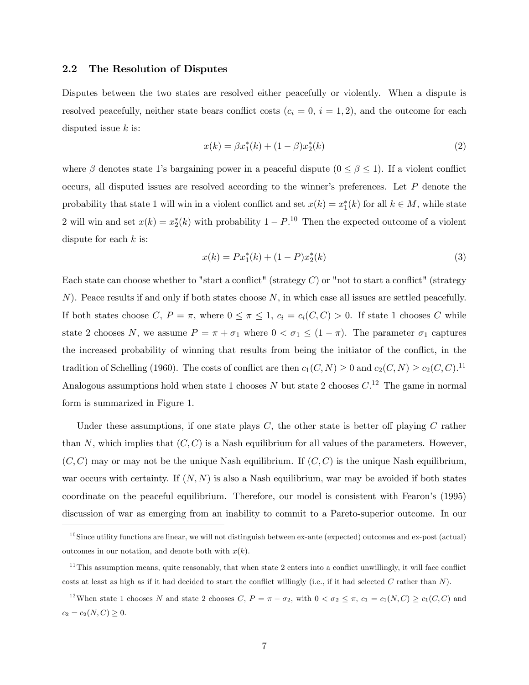#### 2.2 The Resolution of Disputes

Disputes between the two states are resolved either peacefully or violently. When a dispute is resolved peacefully, neither state bears conflict costs  $(c_i = 0, i = 1, 2)$ , and the outcome for each disputed issue  $k$  is:

$$
x(k) = \beta x_1^*(k) + (1 - \beta)x_2^*(k)
$$
 (2)

where  $\beta$  denotes state 1's bargaining power in a peaceful dispute  $(0 \le \beta \le 1)$ . If a violent conflict occurs, all disputed issues are resolved according to the winner's preferences. Let P denote the probability that state 1 will win in a violent conflict and set  $x(k) = x_1^*(k)$  for all  $k \in M$ , while state 2 will win and set  $x(k) = x_2^*(k)$  with probability  $1 - P$ .<sup>10</sup> Then the expected outcome of a violent dispute for each  $k$  is:

$$
x(k) = Px_1^*(k) + (1 - P)x_2^*(k)
$$
\n(3)

Each state can choose whether to "start a conflict" (strategy  $C$ ) or "not to start a conflict" (strategy  $N$ ). Peace results if and only if both states choose  $N$ , in which case all issues are settled peacefully. If both states choose C,  $P = \pi$ , where  $0 \le \pi \le 1$ ,  $c_i = c_i(C, C) > 0$ . If state 1 chooses C while state 2 chooses N, we assume  $P = \pi + \sigma_1$  where  $0 < \sigma_1 \leq (1 - \pi)$ . The parameter  $\sigma_1$  captures the increased probability of winning that results from being the initiator of the conflict, in the tradition of Schelling (1960). The costs of conflict are then  $c_1(C, N) \ge 0$  and  $c_2(C, N) \ge c_2(C, C)$ .<sup>11</sup> Analogous assumptions hold when state 1 chooses  $N$  but state 2 chooses  $C<sup>12</sup>$  The game in normal form is summarized in Figure 1.

Under these assumptions, if one state plays  $C$ , the other state is better off playing  $C$  rather than N, which implies that  $(C, C)$  is a Nash equilibrium for all values of the parameters. However,  $(C, C)$  may or may not be the unique Nash equilibrium. If  $(C, C)$  is the unique Nash equilibrium, war occurs with certainty. If  $(N, N)$  is also a Nash equilibrium, war may be avoided if both states coordinate on the peaceful equilibrium. Therefore, our model is consistent with Fearon's (1995) discussion of war as emerging from an inability to commit to a Pareto-superior outcome. In our

 $10$ Since utility functions are linear, we will not distinguish between ex-ante (expected) outcomes and ex-post (actual) outcomes in our notation, and denote both with  $x(k)$ .

 $11$ This assumption means, quite reasonably, that when state 2 enters into a conflict unwillingly, it will face conflict costs at least as high as if it had decided to start the conflict willingly (i.e., if it had selected  $C$  rather than  $N$ ).

<sup>&</sup>lt;sup>12</sup>When state 1 chooses N and state 2 chooses C,  $P = \pi - \sigma_2$ , with  $0 < \sigma_2 \leq \pi$ ,  $c_1 = c_1(N, C) \geq c_1(C, C)$  and  $c_2 = c_2(N, C) \geq 0.$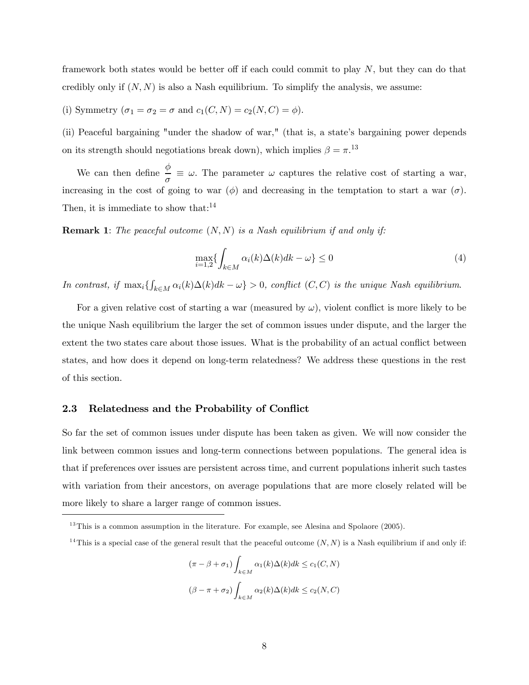framework both states would be better off if each could commit to play N, but they can do that credibly only if  $(N, N)$  is also a Nash equilibrium. To simplify the analysis, we assume:

(i) Symmetry  $(\sigma_1 = \sigma_2 = \sigma \text{ and } c_1(C, N) = c_2(N, C) = \phi)$ .

(ii) Peaceful bargaining "under the shadow of war," (that is, a state's bargaining power depends on its strength should negotiations break down), which implies  $\beta = \pi$ <sup>13</sup>

We can then define  $\frac{\phi}{ }$  $\frac{\gamma}{\sigma} \equiv \omega$ . The parameter  $\omega$  captures the relative cost of starting a war, increasing in the cost of going to war  $(\phi)$  and decreasing in the temptation to start a war  $(\sigma)$ . Then, it is immediate to show that:<sup>14</sup>

**Remark 1:** The peaceful outcome  $(N, N)$  is a Nash equilibrium if and only if:

$$
\max_{i=1,2} \{ \int_{k \in M} \alpha_i(k) \Delta(k) dk - \omega \} \le 0
$$
\n(4)

In contrast, if  $\max_i \{ \int_{k \in M} \alpha_i(k) \Delta(k) dk - \omega \} > 0$ , conflict  $(C, C)$  is the unique Nash equilibrium.

For a given relative cost of starting a war (measured by  $\omega$ ), violent conflict is more likely to be the unique Nash equilibrium the larger the set of common issues under dispute, and the larger the extent the two states care about those issues. What is the probability of an actual conflict between states, and how does it depend on long-term relatedness? We address these questions in the rest of this section.

#### 2.3 Relatedness and the Probability of Conflict

So far the set of common issues under dispute has been taken as given. We will now consider the link between common issues and long-term connections between populations. The general idea is that if preferences over issues are persistent across time, and current populations inherit such tastes with variation from their ancestors, on average populations that are more closely related will be more likely to share a larger range of common issues.

$$
(\pi - \beta + \sigma_1) \int_{k \in M} \alpha_1(k) \Delta(k) dk \le c_1(C, N)
$$
  

$$
(\beta - \pi + \sigma_2) \int_{k \in M} \alpha_2(k) \Delta(k) dk \le c_2(N, C)
$$

 $13$ This is a common assumption in the literature. For example, see Alesina and Spolaore (2005).

<sup>&</sup>lt;sup>14</sup>This is a special case of the general result that the peaceful outcome  $(N, N)$  is a Nash equilibrium if and only if: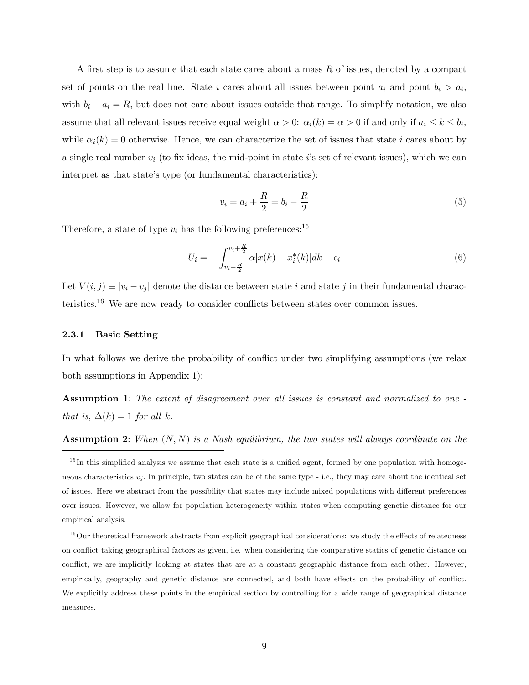A first step is to assume that each state cares about a mass  $R$  of issues, denoted by a compact set of points on the real line. State i cares about all issues between point  $a_i$  and point  $b_i > a_i$ , with  $b_i - a_i = R$ , but does not care about issues outside that range. To simplify notation, we also assume that all relevant issues receive equal weight  $\alpha > 0$ :  $\alpha_i(k) = \alpha > 0$  if and only if  $a_i \le k \le b_i$ , while  $\alpha_i(k)=0$  otherwise. Hence, we can characterize the set of issues that state i cares about by a single real number  $v_i$  (to fix ideas, the mid-point in state i's set of relevant issues), which we can interpret as that state's type (or fundamental characteristics):

$$
v_i = a_i + \frac{R}{2} = b_i - \frac{R}{2}
$$
 (5)

Therefore, a state of type  $v_i$  has the following preferences:<sup>15</sup>

$$
U_i = -\int_{v_i - \frac{R}{2}}^{v_i + \frac{R}{2}} \alpha |x(k) - x_i^*(k)| dk - c_i \tag{6}
$$

Let  $V(i, j) \equiv |v_i - v_j|$  denote the distance between state i and state j in their fundamental characteristics.16 We are now ready to consider conflicts between states over common issues.

#### 2.3.1 Basic Setting

In what follows we derive the probability of conflict under two simplifying assumptions (we relax both assumptions in Appendix 1):

Assumption 1: The extent of disagreement over all issues is constant and normalized to one that is,  $\Delta(k)=1$  for all k.

**Assumption 2:** When  $(N, N)$  is a Nash equilibrium, the two states will always coordinate on the

 $15$  In this simplified analysis we assume that each state is a unified agent, formed by one population with homogeneous characteristics  $v_i$ . In principle, two states can be of the same type - i.e., they may care about the identical set of issues. Here we abstract from the possibility that states may include mixed populations with different preferences over issues. However, we allow for population heterogeneity within states when computing genetic distance for our empirical analysis.

 $16$ Our theoretical framework abstracts from explicit geographical considerations: we study the effects of relatedness on conflict taking geographical factors as given, i.e. when considering the comparative statics of genetic distance on conflict, we are implicitly looking at states that are at a constant geographic distance from each other. However, empirically, geography and genetic distance are connected, and both have effects on the probability of conflict. We explicitly address these points in the empirical section by controlling for a wide range of geographical distance measures.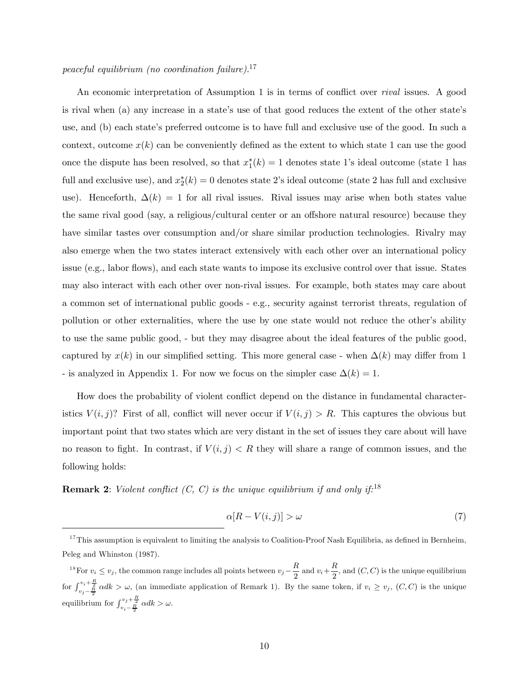# peaceful equilibrium (no coordination failure).<sup>17</sup>

An economic interpretation of Assumption 1 is in terms of conflict over rival issues. A good is rival when (a) any increase in a state's use of that good reduces the extent of the other state's use, and (b) each state's preferred outcome is to have full and exclusive use of the good. In such a context, outcome  $x(k)$  can be conveniently defined as the extent to which state 1 can use the good once the dispute has been resolved, so that  $x_1^*(k) = 1$  denotes state 1's ideal outcome (state 1 has full and exclusive use), and  $x_2^*(k) = 0$  denotes state 2's ideal outcome (state 2 has full and exclusive use). Henceforth,  $\Delta(k)=1$  for all rival issues. Rival issues may arise when both states value the same rival good (say, a religious/cultural center or an offshore natural resource) because they have similar tastes over consumption and/or share similar production technologies. Rivalry may also emerge when the two states interact extensively with each other over an international policy issue (e.g., labor flows), and each state wants to impose its exclusive control over that issue. States may also interact with each other over non-rival issues. For example, both states may care about a common set of international public goods - e.g., security against terrorist threats, regulation of pollution or other externalities, where the use by one state would not reduce the other's ability to use the same public good, - but they may disagree about the ideal features of the public good, captured by  $x(k)$  in our simplified setting. This more general case - when  $\Delta(k)$  may differ from 1 - is analyzed in Appendix 1. For now we focus on the simpler case  $\Delta(k)=1$ .

How does the probability of violent conflict depend on the distance in fundamental characteristics  $V(i, j)$ ? First of all, conflict will never occur if  $V(i, j) > R$ . This captures the obvious but important point that two states which are very distant in the set of issues they care about will have no reason to fight. In contrast, if  $V(i, j) < R$  they will share a range of common issues, and the following holds:

**Remark 2:** Violent conflict  $(C, C)$  is the unique equilibrium if and only if.<sup>18</sup>

$$
\alpha[R - V(i, j)] > \omega \tag{7}
$$

 $17$ This assumption is equivalent to limiting the analysis to Coalition-Proof Nash Equilibria, as defined in Bernheim, Peleg and Whinston (1987).

<sup>&</sup>lt;sup>18</sup> For  $v_i \leq v_j$ , the common range includes all points between  $v_j - \frac{R}{2}$  and  $v_i + \frac{R}{2}$ , and  $(C, C)$  is the unique equilibrium for  $\int_{v_j-\frac{R}{2}}^{v_i+\frac{R}{2}} \alpha dk > \omega$ , (an immediate application of Remark 1). By the same token, if  $v_i \ge v_j$ ,  $(C, C)$  is the unique equilibrium for  $\int_{v_i - \frac{R}{2}}^{v_j + \frac{R}{2}} \alpha dk > \omega$ .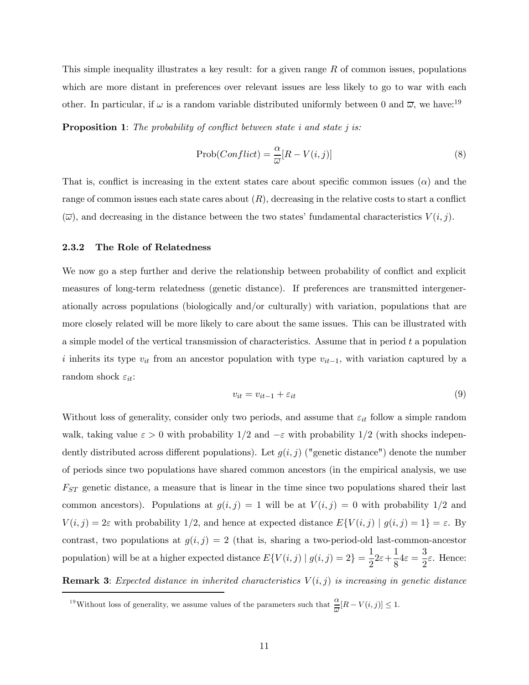This simple inequality illustrates a key result: for a given range  $R$  of common issues, populations which are more distant in preferences over relevant issues are less likely to go to war with each other. In particular, if  $\omega$  is a random variable distributed uniformly between 0 and  $\overline{\omega}$ , we have:<sup>19</sup>

**Proposition 1**: The probability of conflict between state i and state j is:

$$
Prob(Conflict) = \frac{\alpha}{\overline{\omega}}[R - V(i, j)] \tag{8}
$$

That is, conflict is increasing in the extent states care about specific common issues  $(\alpha)$  and the range of common issues each state cares about  $(R)$ , decreasing in the relative costs to start a conflict  $(\overline{\omega})$ , and decreasing in the distance between the two states' fundamental characteristics  $V(i, j)$ .

#### 2.3.2 The Role of Relatedness

We now go a step further and derive the relationship between probability of conflict and explicit measures of long-term relatedness (genetic distance). If preferences are transmitted intergenerationally across populations (biologically and/or culturally) with variation, populations that are more closely related will be more likely to care about the same issues. This can be illustrated with a simple model of the vertical transmission of characteristics. Assume that in period  $t$  a population i inherits its type  $v_{it}$  from an ancestor population with type  $v_{it-1}$ , with variation captured by a random shock  $\varepsilon_{it}$ :

$$
v_{it} = v_{it-1} + \varepsilon_{it} \tag{9}
$$

Without loss of generality, consider only two periods, and assume that  $\varepsilon_{it}$  follow a simple random walk, taking value  $\varepsilon > 0$  with probability  $1/2$  and  $-\varepsilon$  with probability  $1/2$  (with shocks independently distributed across different populations). Let  $g(i, j)$  ("genetic distance") denote the number of periods since two populations have shared common ancestors (in the empirical analysis, we use  $F_{ST}$  genetic distance, a measure that is linear in the time since two populations shared their last common ancestors). Populations at  $g(i, j) = 1$  will be at  $V(i, j) = 0$  with probability  $1/2$  and  $V(i, j) = 2\varepsilon$  with probability 1/2, and hence at expected distance  $E\{V(i, j) | g(i, j) = 1\} = \varepsilon$ . By contrast, two populations at  $g(i, j)=2$  (that is, sharing a two-period-old last-common-ancestor population) will be at a higher expected distance  $E\{V(i,j) | g(i,j)=2\} = \frac{1}{2}2\varepsilon + \frac{1}{8}$  $\frac{1}{8}4\varepsilon = \frac{3}{2}\varepsilon$ . Hence:

**Remark 3:** Expected distance in inherited characteristics  $V(i, j)$  is increasing in genetic distance

<sup>&</sup>lt;sup>19</sup>Without loss of generality, we assume values of the parameters such that  $\frac{\alpha}{\overline{\omega}}[R - V(i,j)] \leq 1$ .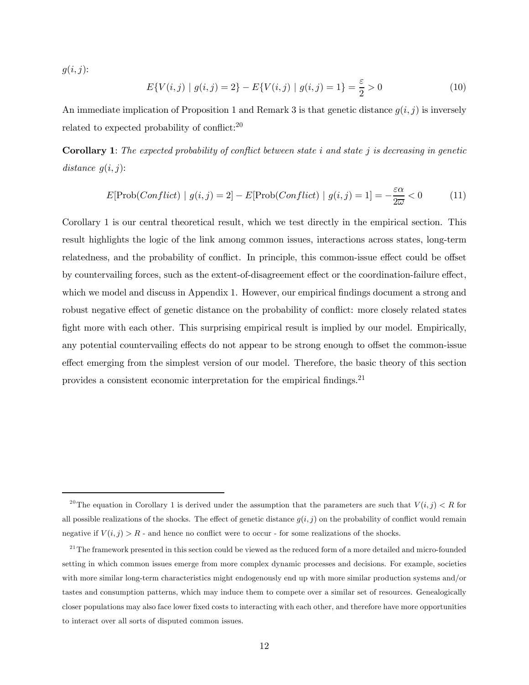$g(i, j)$ :

$$
E\{V(i,j) \mid g(i,j) = 2\} - E\{V(i,j) \mid g(i,j) = 1\} = \frac{\varepsilon}{2} > 0
$$
\n(10)

An immediate implication of Proposition 1 and Remark 3 is that genetic distance  $g(i, j)$  is inversely related to expected probability of conflict:<sup>20</sup>

**Corollary 1**: The expected probability of conflict between state i and state j is decreasing in genetic distance  $g(i, j)$ :

$$
E[\text{Prob}(Conflict) | g(i,j) = 2] - E[\text{Prob}(Conflict) | g(i,j) = 1] = -\frac{\varepsilon \alpha}{2\overline{\omega}} < 0 \tag{11}
$$

Corollary 1 is our central theoretical result, which we test directly in the empirical section. This result highlights the logic of the link among common issues, interactions across states, long-term relatedness, and the probability of conflict. In principle, this common-issue effect could be offset by countervailing forces, such as the extent-of-disagreement effect or the coordination-failure effect, which we model and discuss in Appendix 1. However, our empirical findings document a strong and robust negative effect of genetic distance on the probability of conflict: more closely related states fight more with each other. This surprising empirical result is implied by our model. Empirically, any potential countervailing effects do not appear to be strong enough to offset the common-issue effect emerging from the simplest version of our model. Therefore, the basic theory of this section provides a consistent economic interpretation for the empirical findings.<sup>21</sup>

<sup>&</sup>lt;sup>20</sup>The equation in Corollary 1 is derived under the assumption that the parameters are such that  $V(i, j) < R$  for all possible realizations of the shocks. The effect of genetic distance  $g(i, j)$  on the probability of conflict would remain negative if  $V(i, j) > R$  - and hence no conflict were to occur - for some realizations of the shocks.

 $21$ The framework presented in this section could be viewed as the reduced form of a more detailed and micro-founded setting in which common issues emerge from more complex dynamic processes and decisions. For example, societies with more similar long-term characteristics might endogenously end up with more similar production systems and/or tastes and consumption patterns, which may induce them to compete over a similar set of resources. Genealogically closer populations may also face lower fixed costs to interacting with each other, and therefore have more opportunities to interact over all sorts of disputed common issues.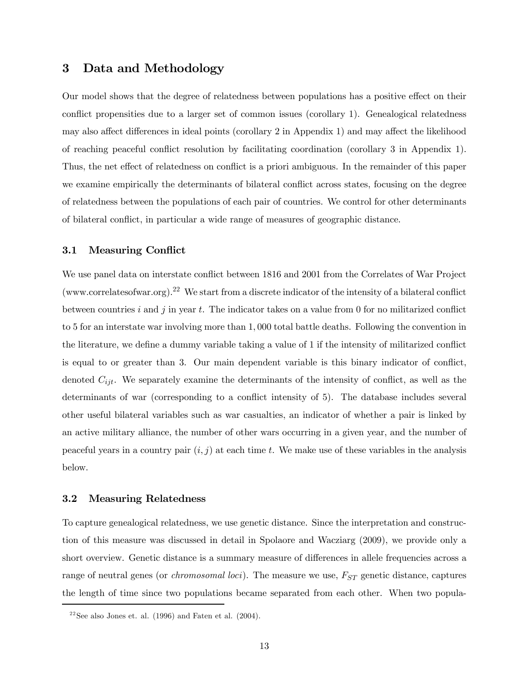# 3 Data and Methodology

Our model shows that the degree of relatedness between populations has a positive effect on their conflict propensities due to a larger set of common issues (corollary 1). Genealogical relatedness may also affect differences in ideal points (corollary 2 in Appendix 1) and may affect the likelihood of reaching peaceful conflict resolution by facilitating coordination (corollary 3 in Appendix 1). Thus, the net effect of relatedness on conflict is a priori ambiguous. In the remainder of this paper we examine empirically the determinants of bilateral conflict across states, focusing on the degree of relatedness between the populations of each pair of countries. We control for other determinants of bilateral conflict, in particular a wide range of measures of geographic distance.

#### 3.1 Measuring Conflict

We use panel data on interstate conflict between 1816 and 2001 from the Correlates of War Project (www.correlatesofwar.org).<sup>22</sup> We start from a discrete indicator of the intensity of a bilateral conflict between countries i and j in year t. The indicator takes on a value from 0 for no militarized conflict to 5 for an interstate war involving more than 1, 000 total battle deaths. Following the convention in the literature, we define a dummy variable taking a value of 1 if the intensity of militarized conflict is equal to or greater than 3. Our main dependent variable is this binary indicator of conflict, denoted  $C_{ijt}$ . We separately examine the determinants of the intensity of conflict, as well as the determinants of war (corresponding to a conflict intensity of 5). The database includes several other useful bilateral variables such as war casualties, an indicator of whether a pair is linked by an active military alliance, the number of other wars occurring in a given year, and the number of peaceful years in a country pair  $(i, j)$  at each time t. We make use of these variables in the analysis below.

#### 3.2 Measuring Relatedness

To capture genealogical relatedness, we use genetic distance. Since the interpretation and construction of this measure was discussed in detail in Spolaore and Wacziarg (2009), we provide only a short overview. Genetic distance is a summary measure of differences in allele frequencies across a range of neutral genes (or *chromosomal loci*). The measure we use,  $F_{ST}$  genetic distance, captures the length of time since two populations became separated from each other. When two popula-

<sup>&</sup>lt;sup>22</sup> See also Jones et. al. (1996) and Faten et al. (2004).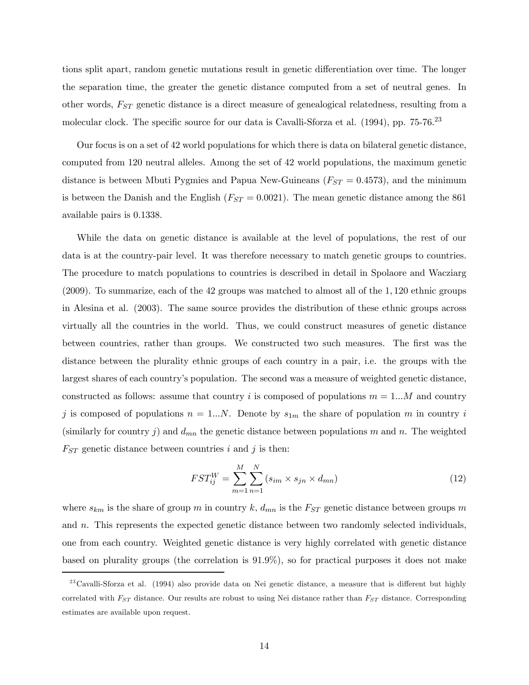tions split apart, random genetic mutations result in genetic differentiation over time. The longer the separation time, the greater the genetic distance computed from a set of neutral genes. In other words,  $F_{ST}$  genetic distance is a direct measure of genealogical relatedness, resulting from a molecular clock. The specific source for our data is Cavalli-Sforza et al. (1994), pp. 75-76.<sup>23</sup>

Our focus is on a set of 42 world populations for which there is data on bilateral genetic distance, computed from 120 neutral alleles. Among the set of 42 world populations, the maximum genetic distance is between Mbuti Pygmies and Papua New-Guineans  $(F_{ST} = 0.4573)$ , and the minimum is between the Danish and the English  $(F_{ST} = 0.0021)$ . The mean genetic distance among the 861 available pairs is 0.1338.

While the data on genetic distance is available at the level of populations, the rest of our data is at the country-pair level. It was therefore necessary to match genetic groups to countries. The procedure to match populations to countries is described in detail in Spolaore and Wacziarg (2009). To summarize, each of the 42 groups was matched to almost all of the 1, 120 ethnic groups in Alesina et al. (2003). The same source provides the distribution of these ethnic groups across virtually all the countries in the world. Thus, we could construct measures of genetic distance between countries, rather than groups. We constructed two such measures. The first was the distance between the plurality ethnic groups of each country in a pair, i.e. the groups with the largest shares of each country's population. The second was a measure of weighted genetic distance, constructed as follows: assume that country i is composed of populations  $m = 1...M$  and country j is composed of populations  $n = 1...N$ . Denote by  $s_{1m}$  the share of population m in country i (similarly for country j) and  $d_{mn}$  the genetic distance between populations m and n. The weighted  $F_{ST}$  genetic distance between countries i and j is then:

$$
FST_{ij}^W = \sum_{m=1}^M \sum_{n=1}^N (s_{im} \times s_{jn} \times d_{mn})
$$
\n(12)

where  $s_{km}$  is the share of group m in country k,  $d_{mn}$  is the  $F_{ST}$  genetic distance between groups m and  $n$ . This represents the expected genetic distance between two randomly selected individuals, one from each country. Weighted genetic distance is very highly correlated with genetic distance based on plurality groups (the correlation is 91.9%), so for practical purposes it does not make

 $^{23}$ Cavalli-Sforza et al. (1994) also provide data on Nei genetic distance, a measure that is different but highly correlated with  $F_{ST}$  distance. Our results are robust to using Nei distance rather than  $F_{ST}$  distance. Corresponding estimates are available upon request.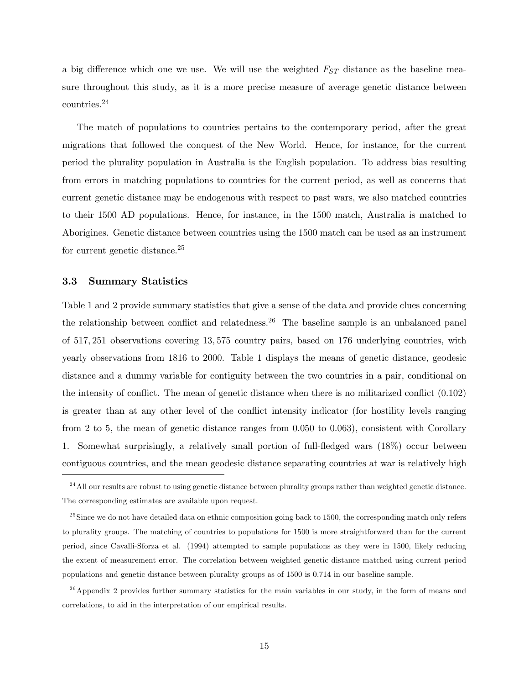a big difference which one we use. We will use the weighted  $F_{ST}$  distance as the baseline measure throughout this study, as it is a more precise measure of average genetic distance between countries.<sup>24</sup>

The match of populations to countries pertains to the contemporary period, after the great migrations that followed the conquest of the New World. Hence, for instance, for the current period the plurality population in Australia is the English population. To address bias resulting from errors in matching populations to countries for the current period, as well as concerns that current genetic distance may be endogenous with respect to past wars, we also matched countries to their 1500 AD populations. Hence, for instance, in the 1500 match, Australia is matched to Aborigines. Genetic distance between countries using the 1500 match can be used as an instrument for current genetic distance.25

#### 3.3 Summary Statistics

Table 1 and 2 provide summary statistics that give a sense of the data and provide clues concerning the relationship between conflict and relatedness.26 The baseline sample is an unbalanced panel of 517, 251 observations covering 13, 575 country pairs, based on 176 underlying countries, with yearly observations from 1816 to 2000. Table 1 displays the means of genetic distance, geodesic distance and a dummy variable for contiguity between the two countries in a pair, conditional on the intensity of conflict. The mean of genetic distance when there is no militarized conflict (0.102) is greater than at any other level of the conflict intensity indicator (for hostility levels ranging from 2 to 5, the mean of genetic distance ranges from 0.050 to 0.063), consistent with Corollary 1. Somewhat surprisingly, a relatively small portion of full-fledged wars (18%) occur between contiguous countries, and the mean geodesic distance separating countries at war is relatively high

<sup>&</sup>lt;sup>24</sup> All our results are robust to using genetic distance between plurality groups rather than weighted genetic distance. The corresponding estimates are available upon request.

 $^{25}$ Since we do not have detailed data on ethnic composition going back to 1500, the corresponding match only refers to plurality groups. The matching of countries to populations for 1500 is more straightforward than for the current period, since Cavalli-Sforza et al. (1994) attempted to sample populations as they were in 1500, likely reducing the extent of measurement error. The correlation between weighted genetic distance matched using current period populations and genetic distance between plurality groups as of 1500 is 0.714 in our baseline sample.

 $2<sup>26</sup>$  Appendix 2 provides further summary statistics for the main variables in our study, in the form of means and correlations, to aid in the interpretation of our empirical results.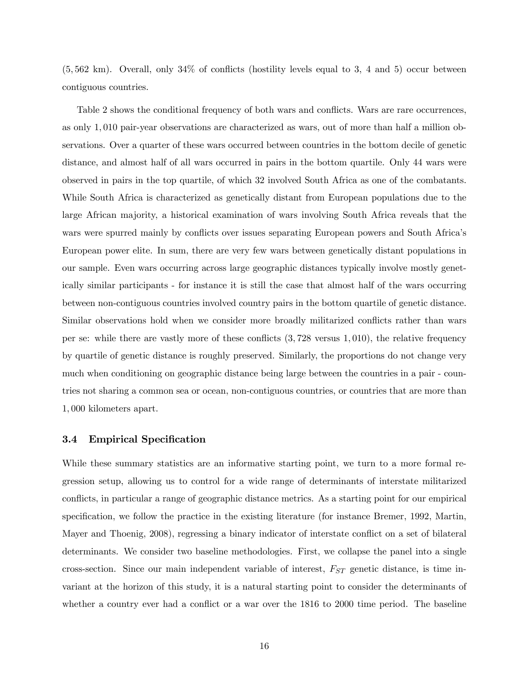(5, 562 km). Overall, only 34% of conflicts (hostility levels equal to 3, 4 and 5) occur between contiguous countries.

Table 2 shows the conditional frequency of both wars and conflicts. Wars are rare occurrences, as only 1, 010 pair-year observations are characterized as wars, out of more than half a million observations. Over a quarter of these wars occurred between countries in the bottom decile of genetic distance, and almost half of all wars occurred in pairs in the bottom quartile. Only 44 wars were observed in pairs in the top quartile, of which 32 involved South Africa as one of the combatants. While South Africa is characterized as genetically distant from European populations due to the large African majority, a historical examination of wars involving South Africa reveals that the wars were spurred mainly by conflicts over issues separating European powers and South Africa's European power elite. In sum, there are very few wars between genetically distant populations in our sample. Even wars occurring across large geographic distances typically involve mostly genetically similar participants - for instance it is still the case that almost half of the wars occurring between non-contiguous countries involved country pairs in the bottom quartile of genetic distance. Similar observations hold when we consider more broadly militarized conflicts rather than wars per se: while there are vastly more of these conflicts  $(3,728)$  versus 1,010), the relative frequency by quartile of genetic distance is roughly preserved. Similarly, the proportions do not change very much when conditioning on geographic distance being large between the countries in a pair - countries not sharing a common sea or ocean, non-contiguous countries, or countries that are more than 1, 000 kilometers apart.

#### 3.4 Empirical Specification

While these summary statistics are an informative starting point, we turn to a more formal regression setup, allowing us to control for a wide range of determinants of interstate militarized conflicts, in particular a range of geographic distance metrics. As a starting point for our empirical specification, we follow the practice in the existing literature (for instance Bremer, 1992, Martin, Mayer and Thoenig, 2008), regressing a binary indicator of interstate conflict on a set of bilateral determinants. We consider two baseline methodologies. First, we collapse the panel into a single cross-section. Since our main independent variable of interest,  $F_{ST}$  genetic distance, is time invariant at the horizon of this study, it is a natural starting point to consider the determinants of whether a country ever had a conflict or a war over the 1816 to 2000 time period. The baseline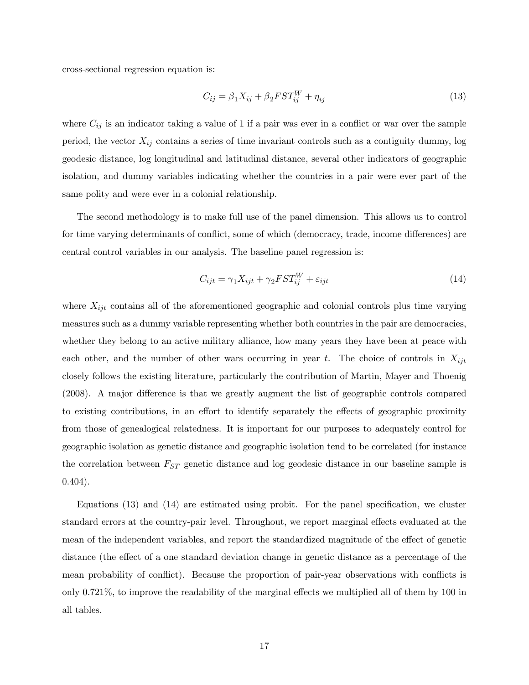cross-sectional regression equation is:

$$
C_{ij} = \beta_1 X_{ij} + \beta_2 FST_{ij}^W + \eta_{ij}
$$
\n
$$
\tag{13}
$$

where  $C_{ij}$  is an indicator taking a value of 1 if a pair was ever in a conflict or war over the sample period, the vector  $X_{ij}$  contains a series of time invariant controls such as a contiguity dummy, log geodesic distance, log longitudinal and latitudinal distance, several other indicators of geographic isolation, and dummy variables indicating whether the countries in a pair were ever part of the same polity and were ever in a colonial relationship.

The second methodology is to make full use of the panel dimension. This allows us to control for time varying determinants of conflict, some of which (democracy, trade, income differences) are central control variables in our analysis. The baseline panel regression is:

$$
C_{ijt} = \gamma_1 X_{ijt} + \gamma_2 FST_{ij}^W + \varepsilon_{ijt}
$$
\n(14)

where  $X_{ijt}$  contains all of the aforementioned geographic and colonial controls plus time varying measures such as a dummy variable representing whether both countries in the pair are democracies, whether they belong to an active military alliance, how many years they have been at peace with each other, and the number of other wars occurring in year t. The choice of controls in  $X_{ijt}$ closely follows the existing literature, particularly the contribution of Martin, Mayer and Thoenig (2008). A major difference is that we greatly augment the list of geographic controls compared to existing contributions, in an effort to identify separately the effects of geographic proximity from those of genealogical relatedness. It is important for our purposes to adequately control for geographic isolation as genetic distance and geographic isolation tend to be correlated (for instance the correlation between  $F_{ST}$  genetic distance and log geodesic distance in our baseline sample is 0.404).

Equations (13) and (14) are estimated using probit. For the panel specification, we cluster standard errors at the country-pair level. Throughout, we report marginal effects evaluated at the mean of the independent variables, and report the standardized magnitude of the effect of genetic distance (the effect of a one standard deviation change in genetic distance as a percentage of the mean probability of conflict). Because the proportion of pair-year observations with conflicts is only 0.721%, to improve the readability of the marginal effects we multiplied all of them by 100 in all tables.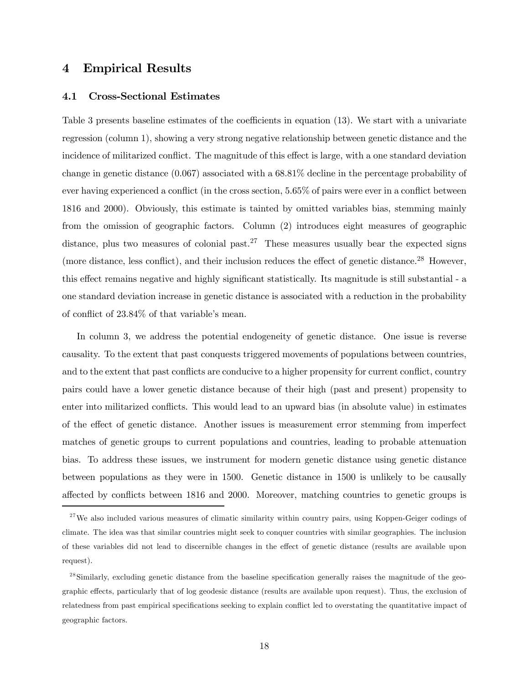# 4 Empirical Results

#### 4.1 Cross-Sectional Estimates

Table 3 presents baseline estimates of the coefficients in equation (13). We start with a univariate regression (column 1), showing a very strong negative relationship between genetic distance and the incidence of militarized conflict. The magnitude of this effect is large, with a one standard deviation change in genetic distance (0.067) associated with a 68.81% decline in the percentage probability of ever having experienced a conflict (in the cross section, 5.65% of pairs were ever in a conflict between 1816 and 2000). Obviously, this estimate is tainted by omitted variables bias, stemming mainly from the omission of geographic factors. Column (2) introduces eight measures of geographic distance, plus two measures of colonial past.<sup>27</sup> These measures usually bear the expected signs (more distance, less conflict), and their inclusion reduces the effect of genetic distance.28 However, this effect remains negative and highly significant statistically. Its magnitude is still substantial - a one standard deviation increase in genetic distance is associated with a reduction in the probability of conflict of 23.84% of that variable's mean.

In column 3, we address the potential endogeneity of genetic distance. One issue is reverse causality. To the extent that past conquests triggered movements of populations between countries, and to the extent that past conflicts are conducive to a higher propensity for current conflict, country pairs could have a lower genetic distance because of their high (past and present) propensity to enter into militarized conflicts. This would lead to an upward bias (in absolute value) in estimates of the effect of genetic distance. Another issues is measurement error stemming from imperfect matches of genetic groups to current populations and countries, leading to probable attenuation bias. To address these issues, we instrument for modern genetic distance using genetic distance between populations as they were in 1500. Genetic distance in 1500 is unlikely to be causally affected by conflicts between 1816 and 2000. Moreover, matching countries to genetic groups is

 $^{28}$  Similarly, excluding genetic distance from the baseline specification generally raises the magnitude of the geographic effects, particularly that of log geodesic distance (results are available upon request). Thus, the exclusion of relatedness from past empirical specifications seeking to explain conflict led to overstating the quantitative impact of geographic factors.

 $27$ We also included various measures of climatic similarity within country pairs, using Koppen-Geiger codings of climate. The idea was that similar countries might seek to conquer countries with similar geographies. The inclusion of these variables did not lead to discernible changes in the effect of genetic distance (results are available upon request).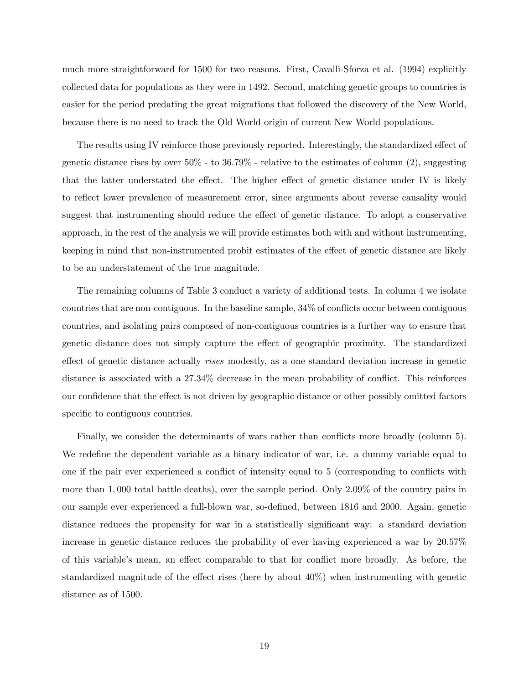much more straightforward for 1500 for two reasons. First, Cavalli-Sforza et al. (1994) explicitly collected data for populations as they were in 1492. Second, matching genetic groups to countries is easier for the period predating the great migrations that followed the discovery of the New World, because there is no need to track the Old World origin of current New World populations.

The results using IV reinforce those previously reported. Interestingly, the standardized effect of genetic distance rises by over  $50\%$  - to  $36.79\%$  - relative to the estimates of column (2), suggesting that the latter understated the effect. The higher effect of genetic distance under IV is likely to reflect lower prevalence of measurement error, since arguments about reverse causality would suggest that instrumenting should reduce the effect of genetic distance. To adopt a conservative approach, in the rest of the analysis we will provide estimates both with and without instrumenting, keeping in mind that non-instrumented probit estimates of the effect of genetic distance are likely to be an understatement of the true magnitude.

The remaining columns of Table 3 conduct a variety of additional tests. In column 4 we isolate countries that are non-contiguous. In the baseline sample, 34% of conflicts occur between contiguous countries, and isolating pairs composed of non-contiguous countries is a further way to ensure that genetic distance does not simply capture the effect of geographic proximity. The standardized effect of genetic distance actually rises modestly, as a one standard deviation increase in genetic distance is associated with a 27.34% decrease in the mean probability of conflict. This reinforces our confidence that the effect is not driven by geographic distance or other possibly omitted factors specific to contiguous countries.

Finally, we consider the determinants of wars rather than conflicts more broadly (column 5). We redefine the dependent variable as a binary indicator of war, i.e. a dummy variable equal to one if the pair ever experienced a conflict of intensity equal to 5 (corresponding to conflicts with more than 1, 000 total battle deaths), over the sample period. Only 2.09% of the country pairs in our sample ever experienced a full-blown war, so-defined, between 1816 and 2000. Again, genetic distance reduces the propensity for war in a statistically significant way: a standard deviation increase in genetic distance reduces the probability of ever having experienced a war by 20.57% of this variable's mean, an effect comparable to that for conflict more broadly. As before, the standardized magnitude of the effect rises (here by about 40%) when instrumenting with genetic distance as of 1500.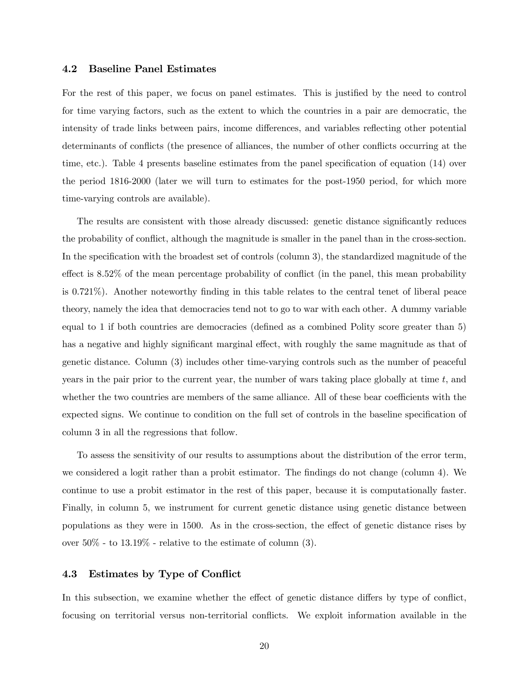#### 4.2 Baseline Panel Estimates

For the rest of this paper, we focus on panel estimates. This is justified by the need to control for time varying factors, such as the extent to which the countries in a pair are democratic, the intensity of trade links between pairs, income differences, and variables reflecting other potential determinants of conflicts (the presence of alliances, the number of other conflicts occurring at the time, etc.). Table 4 presents baseline estimates from the panel specification of equation (14) over the period 1816-2000 (later we will turn to estimates for the post-1950 period, for which more time-varying controls are available).

The results are consistent with those already discussed: genetic distance significantly reduces the probability of conflict, although the magnitude is smaller in the panel than in the cross-section. In the specification with the broadest set of controls (column 3), the standardized magnitude of the effect is 8.52% of the mean percentage probability of conflict (in the panel, this mean probability is 0.721%). Another noteworthy finding in this table relates to the central tenet of liberal peace theory, namely the idea that democracies tend not to go to war with each other. A dummy variable equal to 1 if both countries are democracies (defined as a combined Polity score greater than 5) has a negative and highly significant marginal effect, with roughly the same magnitude as that of genetic distance. Column (3) includes other time-varying controls such as the number of peaceful years in the pair prior to the current year, the number of wars taking place globally at time  $t$ , and whether the two countries are members of the same alliance. All of these bear coefficients with the expected signs. We continue to condition on the full set of controls in the baseline specification of column 3 in all the regressions that follow.

To assess the sensitivity of our results to assumptions about the distribution of the error term, we considered a logit rather than a probit estimator. The findings do not change (column 4). We continue to use a probit estimator in the rest of this paper, because it is computationally faster. Finally, in column 5, we instrument for current genetic distance using genetic distance between populations as they were in 1500. As in the cross-section, the effect of genetic distance rises by over  $50\%$  - to  $13.19\%$  - relative to the estimate of column  $(3)$ .

#### 4.3 Estimates by Type of Conflict

In this subsection, we examine whether the effect of genetic distance differs by type of conflict, focusing on territorial versus non-territorial conflicts. We exploit information available in the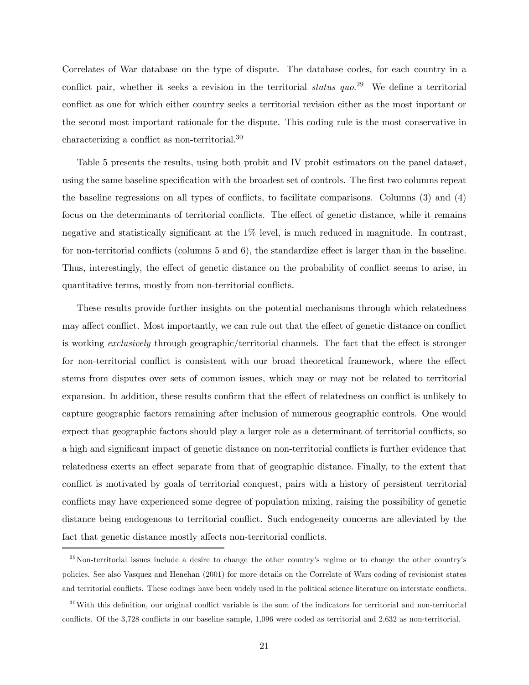Correlates of War database on the type of dispute. The database codes, for each country in a conflict pair, whether it seeks a revision in the territorial *status*  $quo.<sup>29</sup>$  We define a territorial conflict as one for which either country seeks a territorial revision either as the most inportant or the second most important rationale for the dispute. This coding rule is the most conservative in characterizing a conflict as non-territorial.30

Table 5 presents the results, using both probit and IV probit estimators on the panel dataset, using the same baseline specification with the broadest set of controls. The first two columns repeat the baseline regressions on all types of conflicts, to facilitate comparisons. Columns (3) and (4) focus on the determinants of territorial conflicts. The effect of genetic distance, while it remains negative and statistically significant at the 1% level, is much reduced in magnitude. In contrast, for non-territorial conflicts (columns 5 and 6), the standardize effect is larger than in the baseline. Thus, interestingly, the effect of genetic distance on the probability of conflict seems to arise, in quantitative terms, mostly from non-territorial conflicts.

These results provide further insights on the potential mechanisms through which relatedness may affect conflict. Most importantly, we can rule out that the effect of genetic distance on conflict is working exclusively through geographic/territorial channels. The fact that the effect is stronger for non-territorial conflict is consistent with our broad theoretical framework, where the effect stems from disputes over sets of common issues, which may or may not be related to territorial expansion. In addition, these results confirm that the effect of relatedness on conflict is unlikely to capture geographic factors remaining after inclusion of numerous geographic controls. One would expect that geographic factors should play a larger role as a determinant of territorial conflicts, so a high and significant impact of genetic distance on non-territorial conflicts is further evidence that relatedness exerts an effect separate from that of geographic distance. Finally, to the extent that conflict is motivated by goals of territorial conquest, pairs with a history of persistent territorial conflicts may have experienced some degree of population mixing, raising the possibility of genetic distance being endogenous to territorial conflict. Such endogeneity concerns are alleviated by the fact that genetic distance mostly affects non-territorial conflicts.

 $^{29}$ Non-territorial issues include a desire to change the other country's regime or to change the other country's policies. See also Vasquez and Henehan (2001) for more details on the Correlate of Wars coding of revisionist states and territorial conflicts. These codings have been widely used in the political science literature on interstate conflicts.

 $30$ With this definition, our original conflict variable is the sum of the indicators for territorial and non-territorial conflicts. Of the 3,728 conflicts in our baseline sample, 1,096 were coded as territorial and 2,632 as non-territorial.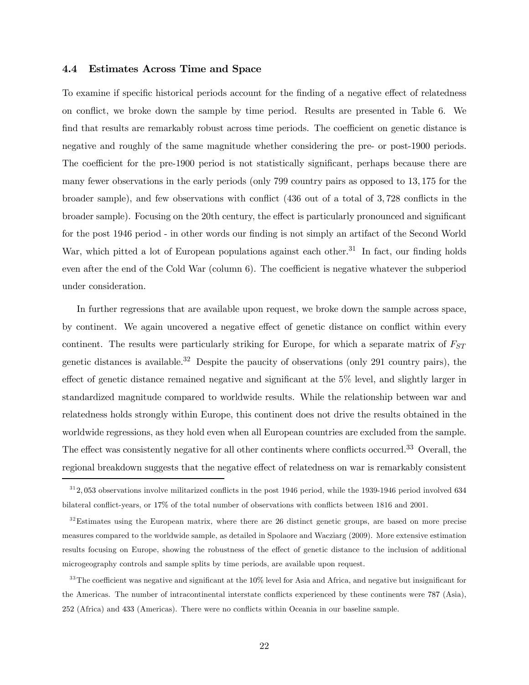#### 4.4 Estimates Across Time and Space

To examine if specific historical periods account for the finding of a negative effect of relatedness on conflict, we broke down the sample by time period. Results are presented in Table 6. We find that results are remarkably robust across time periods. The coefficient on genetic distance is negative and roughly of the same magnitude whether considering the pre- or post-1900 periods. The coefficient for the pre-1900 period is not statistically significant, perhaps because there are many fewer observations in the early periods (only 799 country pairs as opposed to 13, 175 for the broader sample), and few observations with conflict (436 out of a total of 3, 728 conflicts in the broader sample). Focusing on the 20th century, the effect is particularly pronounced and significant for the post 1946 period - in other words our finding is not simply an artifact of the Second World War, which pitted a lot of European populations against each other.<sup>31</sup> In fact, our finding holds even after the end of the Cold War (column 6). The coefficient is negative whatever the subperiod under consideration.

In further regressions that are available upon request, we broke down the sample across space, by continent. We again uncovered a negative effect of genetic distance on conflict within every continent. The results were particularly striking for Europe, for which a separate matrix of  $F_{ST}$ genetic distances is available.<sup>32</sup> Despite the paucity of observations (only 291 country pairs), the effect of genetic distance remained negative and significant at the 5% level, and slightly larger in standardized magnitude compared to worldwide results. While the relationship between war and relatedness holds strongly within Europe, this continent does not drive the results obtained in the worldwide regressions, as they hold even when all European countries are excluded from the sample. The effect was consistently negative for all other continents where conflicts occurred.<sup>33</sup> Overall, the regional breakdown suggests that the negative effect of relatedness on war is remarkably consistent

 $312,053$  observations involve militarized conflicts in the post 1946 period, while the 1939-1946 period involved 634 bilateral conflict-years, or 17% of the total number of observations with conflicts between 1816 and 2001.

<sup>&</sup>lt;sup>32</sup>Estimates using the European matrix, where there are 26 distinct genetic groups, are based on more precise measures compared to the worldwide sample, as detailed in Spolaore and Wacziarg (2009). More extensive estimation results focusing on Europe, showing the robustness of the effect of genetic distance to the inclusion of additional microgeography controls and sample splits by time periods, are available upon request.

<sup>&</sup>lt;sup>33</sup>The coefficient was negative and significant at the 10% level for Asia and Africa, and negative but insignificant for the Americas. The number of intracontinental interstate conflicts experienced by these continents were 787 (Asia), 252 (Africa) and 433 (Americas). There were no conflicts within Oceania in our baseline sample.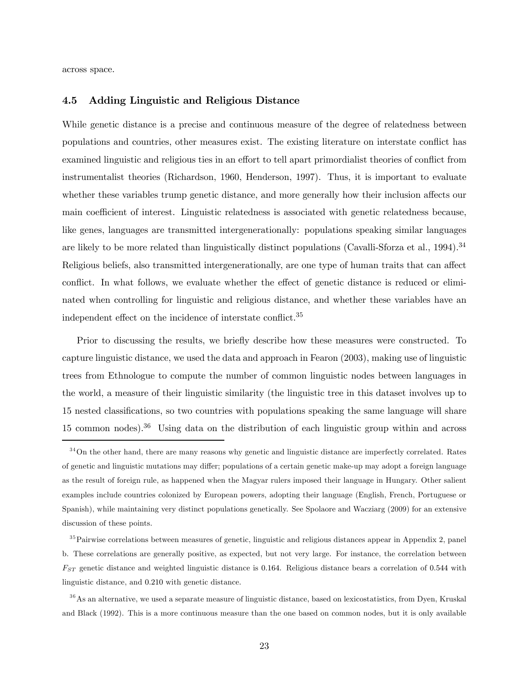across space.

#### 4.5 Adding Linguistic and Religious Distance

While genetic distance is a precise and continuous measure of the degree of relatedness between populations and countries, other measures exist. The existing literature on interstate conflict has examined linguistic and religious ties in an effort to tell apart primordialist theories of conflict from instrumentalist theories (Richardson, 1960, Henderson, 1997). Thus, it is important to evaluate whether these variables trump genetic distance, and more generally how their inclusion affects our main coefficient of interest. Linguistic relatedness is associated with genetic relatedness because, like genes, languages are transmitted intergenerationally: populations speaking similar languages are likely to be more related than linguistically distinct populations (Cavalli-Sforza et al., 1994).<sup>34</sup> Religious beliefs, also transmitted intergenerationally, are one type of human traits that can affect conflict. In what follows, we evaluate whether the effect of genetic distance is reduced or eliminated when controlling for linguistic and religious distance, and whether these variables have an independent effect on the incidence of interstate conflict.<sup>35</sup>

Prior to discussing the results, we briefly describe how these measures were constructed. To capture linguistic distance, we used the data and approach in Fearon (2003), making use of linguistic trees from Ethnologue to compute the number of common linguistic nodes between languages in the world, a measure of their linguistic similarity (the linguistic tree in this dataset involves up to 15 nested classifications, so two countries with populations speaking the same language will share 15 common nodes).<sup>36</sup> Using data on the distribution of each linguistic group within and across

 $34$ On the other hand, there are many reasons why genetic and linguistic distance are imperfectly correlated. Rates of genetic and linguistic mutations may differ; populations of a certain genetic make-up may adopt a foreign language as the result of foreign rule, as happened when the Magyar rulers imposed their language in Hungary. Other salient examples include countries colonized by European powers, adopting their language (English, French, Portuguese or Spanish), while maintaining very distinct populations genetically. See Spolaore and Wacziarg (2009) for an extensive discussion of these points.

<sup>&</sup>lt;sup>35</sup>Pairwise correlations between measures of genetic, linguistic and religious distances appear in Appendix 2, panel b. These correlations are generally positive, as expected, but not very large. For instance, the correlation between  $F_{ST}$  genetic distance and weighted linguistic distance is 0.164. Religious distance bears a correlation of 0.544 with linguistic distance, and 0.210 with genetic distance.

 $36$ As an alternative, we used a separate measure of linguistic distance, based on lexicostatistics, from Dyen, Kruskal and Black (1992). This is a more continuous measure than the one based on common nodes, but it is only available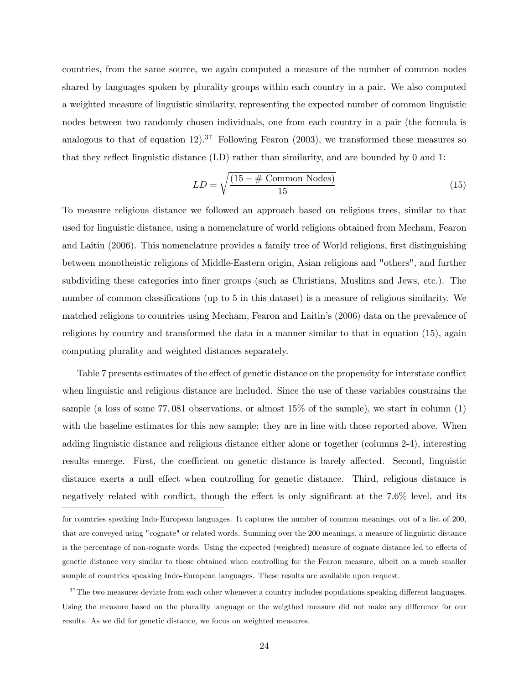countries, from the same source, we again computed a measure of the number of common nodes shared by languages spoken by plurality groups within each country in a pair. We also computed a weighted measure of linguistic similarity, representing the expected number of common linguistic nodes between two randomly chosen individuals, one from each country in a pair (the formula is analogous to that of equation 12).<sup>37</sup> Following Fearon (2003), we transformed these measures so that they reflect linguistic distance (LD) rather than similarity, and are bounded by 0 and 1:

$$
LD = \sqrt{\frac{(15 - \# \text{ Common Nodes})}{15}}
$$
\n(15)

To measure religious distance we followed an approach based on religious trees, similar to that used for linguistic distance, using a nomenclature of world religions obtained from Mecham, Fearon and Laitin (2006). This nomenclature provides a family tree of World religions, first distinguishing between monotheistic religions of Middle-Eastern origin, Asian religions and "others", and further subdividing these categories into finer groups (such as Christians, Muslims and Jews, etc.). The number of common classifications (up to 5 in this dataset) is a measure of religious similarity. We matched religions to countries using Mecham, Fearon and Laitin's (2006) data on the prevalence of religions by country and transformed the data in a manner similar to that in equation (15), again computing plurality and weighted distances separately.

Table 7 presents estimates of the effect of genetic distance on the propensity for interstate conflict when linguistic and religious distance are included. Since the use of these variables constrains the sample (a loss of some 77, 081 observations, or almost 15% of the sample), we start in column (1) with the baseline estimates for this new sample: they are in line with those reported above. When adding linguistic distance and religious distance either alone or together (columns 2-4), interesting results emerge. First, the coefficient on genetic distance is barely affected. Second, linguistic distance exerts a null effect when controlling for genetic distance. Third, religious distance is negatively related with conflict, though the effect is only significant at the 7.6% level, and its

for countries speaking Indo-European languages. It captures the number of common meanings, out of a list of 200, that are conveyed using "cognate" or related words. Summing over the 200 meanings, a measure of linguistic distance is the percentage of non-cognate words. Using the expected (weighted) measure of cognate distance led to effects of genetic distance very similar to those obtained when controlling for the Fearon measure, albeit on a much smaller sample of countries speaking Indo-European languages. These results are available upon request.

 $37$ The two measures deviate from each other whenever a country includes populations speaking different languages. Using the measure based on the plurality language or the weigthed measure did not make any difference for our results. As we did for genetic distance, we focus on weighted measures.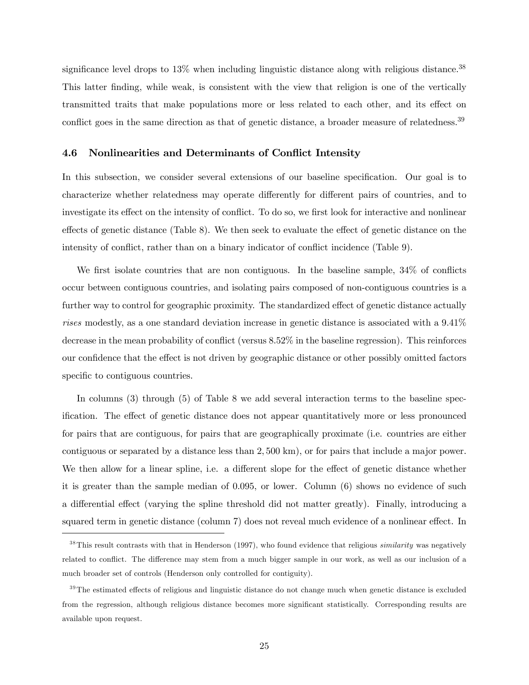significance level drops to 13% when including linguistic distance along with religious distance.<sup>38</sup> This latter finding, while weak, is consistent with the view that religion is one of the vertically transmitted traits that make populations more or less related to each other, and its effect on conflict goes in the same direction as that of genetic distance, a broader measure of relatedness.<sup>39</sup>

#### 4.6 Nonlinearities and Determinants of Conflict Intensity

In this subsection, we consider several extensions of our baseline specification. Our goal is to characterize whether relatedness may operate differently for different pairs of countries, and to investigate its effect on the intensity of conflict. To do so, we first look for interactive and nonlinear effects of genetic distance (Table 8). We then seek to evaluate the effect of genetic distance on the intensity of conflict, rather than on a binary indicator of conflict incidence (Table 9).

We first isolate countries that are non contiguous. In the baseline sample,  $34\%$  of conflicts occur between contiguous countries, and isolating pairs composed of non-contiguous countries is a further way to control for geographic proximity. The standardized effect of genetic distance actually rises modestly, as a one standard deviation increase in genetic distance is associated with a  $9.41\%$ decrease in the mean probability of conflict (versus 8.52% in the baseline regression). This reinforces our confidence that the effect is not driven by geographic distance or other possibly omitted factors specific to contiguous countries.

In columns (3) through (5) of Table 8 we add several interaction terms to the baseline specification. The effect of genetic distance does not appear quantitatively more or less pronounced for pairs that are contiguous, for pairs that are geographically proximate (i.e. countries are either contiguous or separated by a distance less than 2, 500 km), or for pairs that include a major power. We then allow for a linear spline, i.e. a different slope for the effect of genetic distance whether it is greater than the sample median of 0.095, or lower. Column (6) shows no evidence of such a differential effect (varying the spline threshold did not matter greatly). Finally, introducing a squared term in genetic distance (column 7) does not reveal much evidence of a nonlinear effect. In

 $38$ This result contrasts with that in Henderson (1997), who found evidence that religious *similarity* was negatively related to conflict. The difference may stem from a much bigger sample in our work, as well as our inclusion of a much broader set of controls (Henderson only controlled for contiguity).

 $39$ The estimated effects of religious and linguistic distance do not change much when genetic distance is excluded from the regression, although religious distance becomes more significant statistically. Corresponding results are available upon request.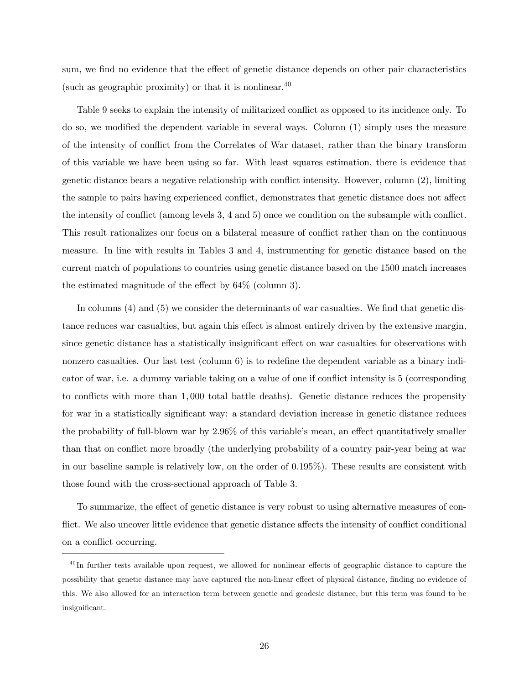sum, we find no evidence that the effect of genetic distance depends on other pair characteristics (such as geographic proximity) or that it is nonlinear.  $40$ 

Table 9 seeks to explain the intensity of militarized conflict as opposed to its incidence only. To do so, we modified the dependent variable in several ways. Column (1) simply uses the measure of the intensity of conflict from the Correlates of War dataset, rather than the binary transform of this variable we have been using so far. With least squares estimation, there is evidence that genetic distance bears a negative relationship with conflict intensity. However, column (2), limiting the sample to pairs having experienced conflict, demonstrates that genetic distance does not affect the intensity of conflict (among levels 3, 4 and 5) once we condition on the subsample with conflict. This result rationalizes our focus on a bilateral measure of conflict rather than on the continuous measure. In line with results in Tables 3 and 4, instrumenting for genetic distance based on the current match of populations to countries using genetic distance based on the 1500 match increases the estimated magnitude of the effect by 64% (column 3).

In columns (4) and (5) we consider the determinants of war casualties. We find that genetic distance reduces war casualties, but again this effect is almost entirely driven by the extensive margin, since genetic distance has a statistically insignificant effect on war casualties for observations with nonzero casualties. Our last test (column 6) is to redefine the dependent variable as a binary indicator of war, i.e. a dummy variable taking on a value of one if conflict intensity is 5 (corresponding to conflicts with more than 1, 000 total battle deaths). Genetic distance reduces the propensity for war in a statistically significant way: a standard deviation increase in genetic distance reduces the probability of full-blown war by 2.96% of this variable's mean, an effect quantitatively smaller than that on conflict more broadly (the underlying probability of a country pair-year being at war in our baseline sample is relatively low, on the order of 0.195%). These results are consistent with those found with the cross-sectional approach of Table 3.

To summarize, the effect of genetic distance is very robust to using alternative measures of conflict. We also uncover little evidence that genetic distance affects the intensity of conflict conditional on a conflict occurring.

 $^{40}$ In further tests available upon request, we allowed for nonlinear effects of geographic distance to capture the possibility that genetic distance may have captured the non-linear effect of physical distance, finding no evidence of this. We also allowed for an interaction term between genetic and geodesic distance, but this term was found to be insignificant.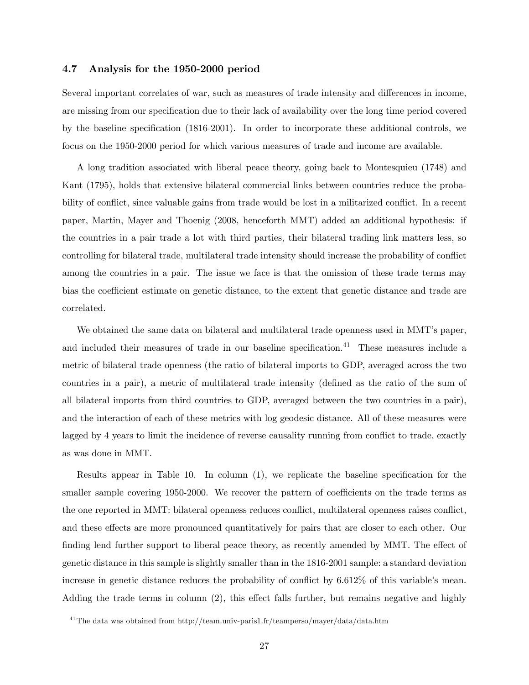#### 4.7 Analysis for the 1950-2000 period

Several important correlates of war, such as measures of trade intensity and differences in income, are missing from our specification due to their lack of availability over the long time period covered by the baseline specification (1816-2001). In order to incorporate these additional controls, we focus on the 1950-2000 period for which various measures of trade and income are available.

A long tradition associated with liberal peace theory, going back to Montesquieu (1748) and Kant (1795), holds that extensive bilateral commercial links between countries reduce the probability of conflict, since valuable gains from trade would be lost in a militarized conflict. In a recent paper, Martin, Mayer and Thoenig (2008, henceforth MMT) added an additional hypothesis: if the countries in a pair trade a lot with third parties, their bilateral trading link matters less, so controlling for bilateral trade, multilateral trade intensity should increase the probability of conflict among the countries in a pair. The issue we face is that the omission of these trade terms may bias the coefficient estimate on genetic distance, to the extent that genetic distance and trade are correlated.

We obtained the same data on bilateral and multilateral trade openness used in MMT's paper, and included their measures of trade in our baseline specification.<sup>41</sup> These measures include a metric of bilateral trade openness (the ratio of bilateral imports to GDP, averaged across the two countries in a pair), a metric of multilateral trade intensity (defined as the ratio of the sum of all bilateral imports from third countries to GDP, averaged between the two countries in a pair), and the interaction of each of these metrics with log geodesic distance. All of these measures were lagged by 4 years to limit the incidence of reverse causality running from conflict to trade, exactly as was done in MMT.

Results appear in Table 10. In column (1), we replicate the baseline specification for the smaller sample covering 1950-2000. We recover the pattern of coefficients on the trade terms as the one reported in MMT: bilateral openness reduces conflict, multilateral openness raises conflict, and these effects are more pronounced quantitatively for pairs that are closer to each other. Our finding lend further support to liberal peace theory, as recently amended by MMT. The effect of genetic distance in this sample is slightly smaller than in the 1816-2001 sample: a standard deviation increase in genetic distance reduces the probability of conflict by 6.612% of this variable's mean. Adding the trade terms in column (2), this effect falls further, but remains negative and highly

 $^{41}$ The data was obtained from http://team.univ-paris1.fr/teamperso/mayer/data/data.htm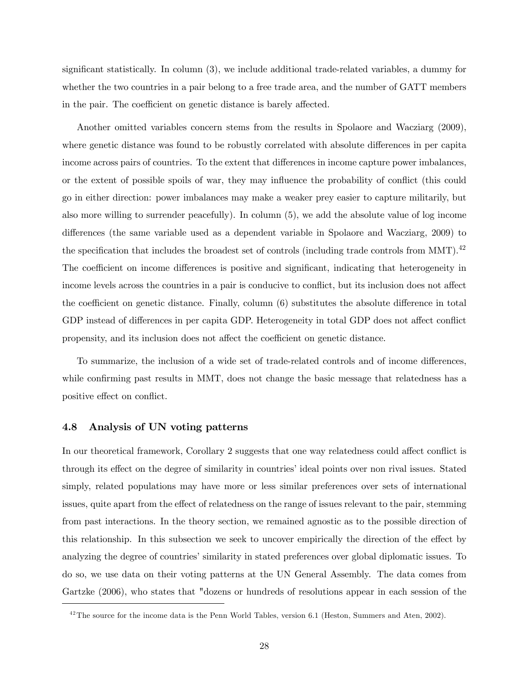significant statistically. In column (3), we include additional trade-related variables, a dummy for whether the two countries in a pair belong to a free trade area, and the number of GATT members in the pair. The coefficient on genetic distance is barely affected.

Another omitted variables concern stems from the results in Spolaore and Wacziarg (2009), where genetic distance was found to be robustly correlated with absolute differences in per capita income across pairs of countries. To the extent that differences in income capture power imbalances, or the extent of possible spoils of war, they may influence the probability of conflict (this could go in either direction: power imbalances may make a weaker prey easier to capture militarily, but also more willing to surrender peacefully). In column (5), we add the absolute value of log income differences (the same variable used as a dependent variable in Spolaore and Wacziarg, 2009) to the specification that includes the broadest set of controls (including trade controls from MMT).<sup>42</sup> The coefficient on income differences is positive and significant, indicating that heterogeneity in income levels across the countries in a pair is conducive to conflict, but its inclusion does not affect the coefficient on genetic distance. Finally, column (6) substitutes the absolute difference in total GDP instead of differences in per capita GDP. Heterogeneity in total GDP does not affect conflict propensity, and its inclusion does not affect the coefficient on genetic distance.

To summarize, the inclusion of a wide set of trade-related controls and of income differences, while confirming past results in MMT, does not change the basic message that relatedness has a positive effect on conflict.

#### 4.8 Analysis of UN voting patterns

In our theoretical framework, Corollary 2 suggests that one way relatedness could affect conflict is through its effect on the degree of similarity in countries' ideal points over non rival issues. Stated simply, related populations may have more or less similar preferences over sets of international issues, quite apart from the effect of relatedness on the range of issues relevant to the pair, stemming from past interactions. In the theory section, we remained agnostic as to the possible direction of this relationship. In this subsection we seek to uncover empirically the direction of the effect by analyzing the degree of countries' similarity in stated preferences over global diplomatic issues. To do so, we use data on their voting patterns at the UN General Assembly. The data comes from Gartzke (2006), who states that "dozens or hundreds of resolutions appear in each session of the

 $^{42}$ The source for the income data is the Penn World Tables, version 6.1 (Heston, Summers and Aten, 2002).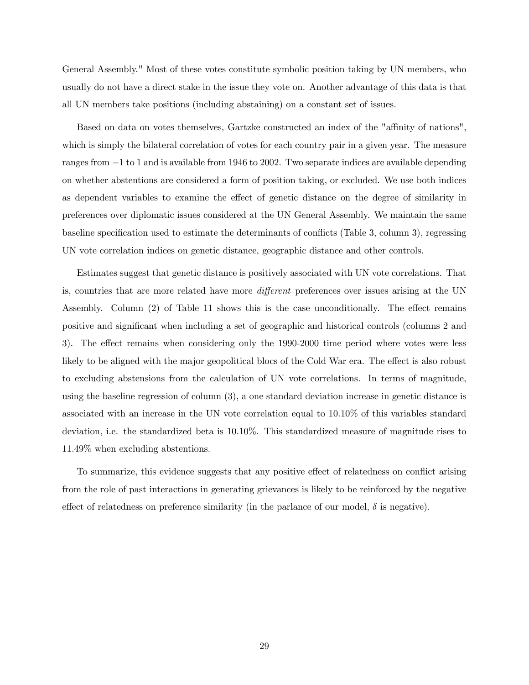General Assembly." Most of these votes constitute symbolic position taking by UN members, who usually do not have a direct stake in the issue they vote on. Another advantage of this data is that all UN members take positions (including abstaining) on a constant set of issues.

Based on data on votes themselves, Gartzke constructed an index of the "affinity of nations", which is simply the bilateral correlation of votes for each country pair in a given year. The measure ranges from −1 to 1 and is available from 1946 to 2002. Two separate indices are available depending on whether abstentions are considered a form of position taking, or excluded. We use both indices as dependent variables to examine the effect of genetic distance on the degree of similarity in preferences over diplomatic issues considered at the UN General Assembly. We maintain the same baseline specification used to estimate the determinants of conflicts (Table 3, column 3), regressing UN vote correlation indices on genetic distance, geographic distance and other controls.

Estimates suggest that genetic distance is positively associated with UN vote correlations. That is, countries that are more related have more different preferences over issues arising at the UN Assembly. Column (2) of Table 11 shows this is the case unconditionally. The effect remains positive and significant when including a set of geographic and historical controls (columns 2 and 3). The effect remains when considering only the 1990-2000 time period where votes were less likely to be aligned with the major geopolitical blocs of the Cold War era. The effect is also robust to excluding abstensions from the calculation of UN vote correlations. In terms of magnitude, using the baseline regression of column (3), a one standard deviation increase in genetic distance is associated with an increase in the UN vote correlation equal to 10.10% of this variables standard deviation, i.e. the standardized beta is 10.10%. This standardized measure of magnitude rises to 11.49% when excluding abstentions.

To summarize, this evidence suggests that any positive effect of relatedness on conflict arising from the role of past interactions in generating grievances is likely to be reinforced by the negative effect of relatedness on preference similarity (in the parlance of our model,  $\delta$  is negative).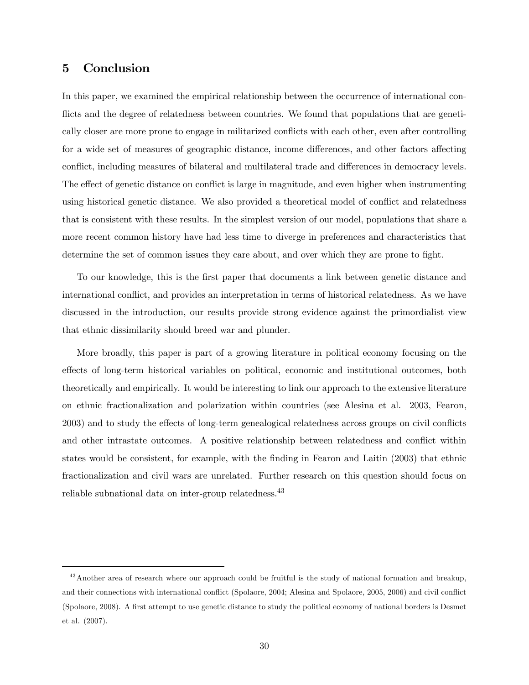# 5 Conclusion

In this paper, we examined the empirical relationship between the occurrence of international conflicts and the degree of relatedness between countries. We found that populations that are genetically closer are more prone to engage in militarized conflicts with each other, even after controlling for a wide set of measures of geographic distance, income differences, and other factors affecting conflict, including measures of bilateral and multilateral trade and differences in democracy levels. The effect of genetic distance on conflict is large in magnitude, and even higher when instrumenting using historical genetic distance. We also provided a theoretical model of conflict and relatedness that is consistent with these results. In the simplest version of our model, populations that share a more recent common history have had less time to diverge in preferences and characteristics that determine the set of common issues they care about, and over which they are prone to fight.

To our knowledge, this is the first paper that documents a link between genetic distance and international conflict, and provides an interpretation in terms of historical relatedness. As we have discussed in the introduction, our results provide strong evidence against the primordialist view that ethnic dissimilarity should breed war and plunder.

More broadly, this paper is part of a growing literature in political economy focusing on the effects of long-term historical variables on political, economic and institutional outcomes, both theoretically and empirically. It would be interesting to link our approach to the extensive literature on ethnic fractionalization and polarization within countries (see Alesina et al. 2003, Fearon, 2003) and to study the effects of long-term genealogical relatedness across groups on civil conflicts and other intrastate outcomes. A positive relationship between relatedness and conflict within states would be consistent, for example, with the finding in Fearon and Laitin (2003) that ethnic fractionalization and civil wars are unrelated. Further research on this question should focus on reliable subnational data on inter-group relatedness.<sup>43</sup>

<sup>&</sup>lt;sup>43</sup> Another area of research where our approach could be fruitful is the study of national formation and breakup, and their connections with international conflict (Spolaore, 2004; Alesina and Spolaore, 2005, 2006) and civil conflict (Spolaore, 2008). A first attempt to use genetic distance to study the political economy of national borders is Desmet et al. (2007).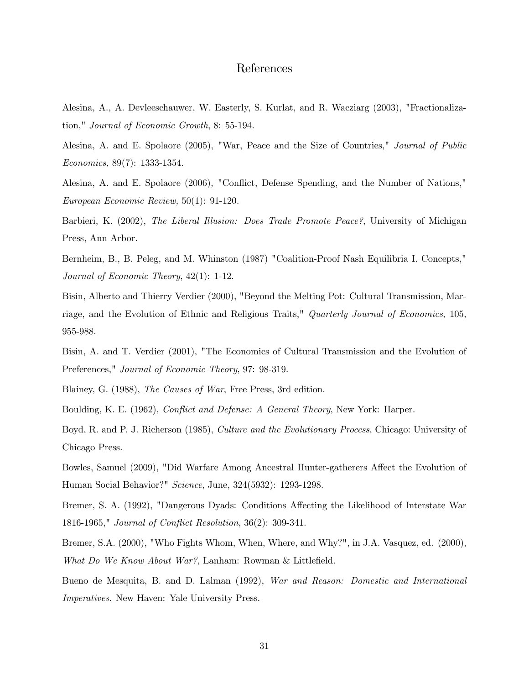# References

Alesina, A., A. Devleeschauwer, W. Easterly, S. Kurlat, and R. Wacziarg (2003), "Fractionalization," Journal of Economic Growth, 8: 55-194.

Alesina, A. and E. Spolaore (2005), "War, Peace and the Size of Countries," Journal of Public Economics, 89(7): 1333-1354.

Alesina, A. and E. Spolaore (2006), "Conflict, Defense Spending, and the Number of Nations," European Economic Review, 50(1): 91-120.

Barbieri, K. (2002), *The Liberal Illusion: Does Trade Promote Peace?*, University of Michigan Press, Ann Arbor.

Bernheim, B., B. Peleg, and M. Whinston (1987) "Coalition-Proof Nash Equilibria I. Concepts," Journal of Economic Theory, 42(1): 1-12.

Bisin, Alberto and Thierry Verdier (2000), "Beyond the Melting Pot: Cultural Transmission, Marriage, and the Evolution of Ethnic and Religious Traits," Quarterly Journal of Economics, 105, 955-988.

Bisin, A. and T. Verdier (2001), "The Economics of Cultural Transmission and the Evolution of Preferences," Journal of Economic Theory, 97: 98-319.

Blainey, G. (1988), The Causes of War, Free Press, 3rd edition.

Boulding, K. E. (1962), Conflict and Defense: A General Theory, New York: Harper.

Boyd, R. and P. J. Richerson (1985), Culture and the Evolutionary Process, Chicago: University of Chicago Press.

Bowles, Samuel (2009), "Did Warfare Among Ancestral Hunter-gatherers Affect the Evolution of Human Social Behavior?" Science, June, 324(5932): 1293-1298.

Bremer, S. A. (1992), "Dangerous Dyads: Conditions Affecting the Likelihood of Interstate War 1816-1965," Journal of Conflict Resolution, 36(2): 309-341.

Bremer, S.A. (2000), "Who Fights Whom, When, Where, and Why?", in J.A. Vasquez, ed. (2000), What Do We Know About War?, Lanham: Rowman & Littlefield.

Bueno de Mesquita, B. and D. Lalman (1992), War and Reason: Domestic and International Imperatives. New Haven: Yale University Press.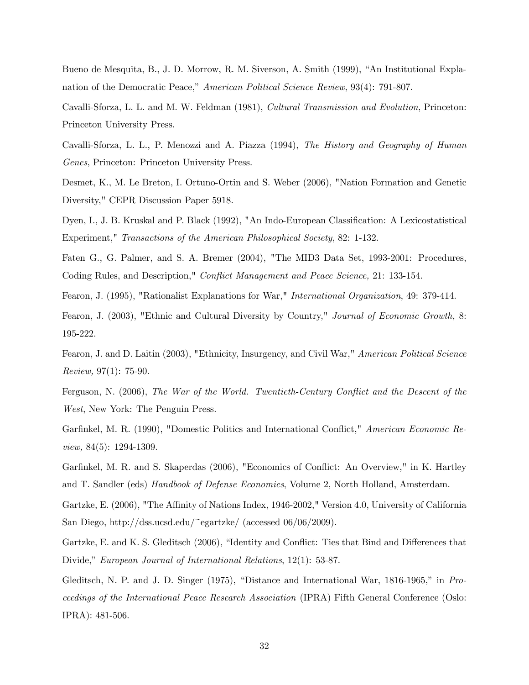Bueno de Mesquita, B., J. D. Morrow, R. M. Siverson, A. Smith (1999), "An Institutional Explanation of the Democratic Peace," American Political Science Review, 93(4): 791-807.

Cavalli-Sforza, L. L. and M. W. Feldman (1981), Cultural Transmission and Evolution, Princeton: Princeton University Press.

Cavalli-Sforza, L. L., P. Menozzi and A. Piazza (1994), The History and Geography of Human Genes, Princeton: Princeton University Press.

Desmet, K., M. Le Breton, I. Ortuno-Ortin and S. Weber (2006), "Nation Formation and Genetic Diversity," CEPR Discussion Paper 5918.

Dyen, I., J. B. Kruskal and P. Black (1992), "An Indo-European Classification: A Lexicostatistical Experiment," Transactions of the American Philosophical Society, 82: 1-132.

Faten G., G. Palmer, and S. A. Bremer (2004), "The MID3 Data Set, 1993-2001: Procedures, Coding Rules, and Description," Conflict Management and Peace Science, 21: 133-154.

Fearon, J. (1995), "Rationalist Explanations for War," International Organization, 49: 379-414.

Fearon, J. (2003), "Ethnic and Cultural Diversity by Country," Journal of Economic Growth, 8: 195-222.

Fearon, J. and D. Laitin (2003), "Ethnicity, Insurgency, and Civil War," American Political Science Review, 97(1): 75-90.

Ferguson, N. (2006), The War of the World. Twentieth-Century Conflict and the Descent of the West, New York: The Penguin Press.

Garfinkel, M. R. (1990), "Domestic Politics and International Conflict," American Economic Review, 84(5): 1294-1309.

Garfinkel, M. R. and S. Skaperdas (2006), "Economics of Conflict: An Overview," in K. Hartley and T. Sandler (eds) Handbook of Defense Economics, Volume 2, North Holland, Amsterdam.

Gartzke, E. (2006), "The Affinity of Nations Index, 1946-2002," Version 4.0, University of California San Diego, http://dss.ucsd.edu/~egartzke/ (accessed 06/06/2009).

Gartzke, E. and K. S. Gleditsch (2006), "Identity and Conflict: Ties that Bind and Differences that Divide," European Journal of International Relations, 12(1): 53-87.

Gleditsch, N. P. and J. D. Singer (1975), "Distance and International War, 1816-1965," in Proceedings of the International Peace Research Association (IPRA) Fifth General Conference (Oslo: IPRA): 481-506.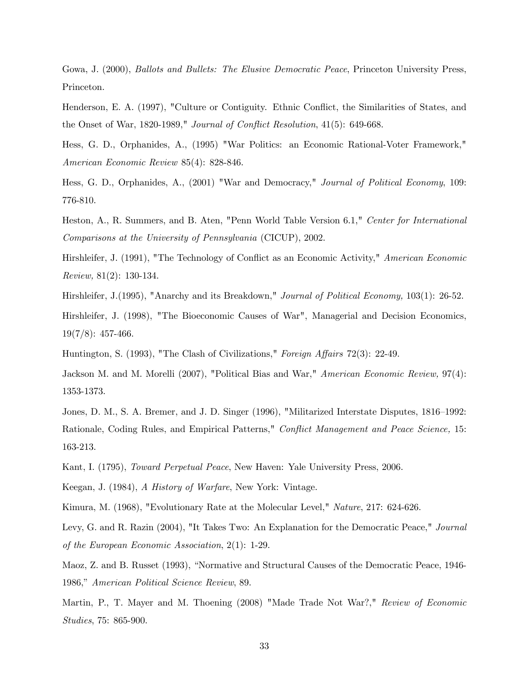Gowa, J. (2000), Ballots and Bullets: The Elusive Democratic Peace, Princeton University Press, Princeton.

Henderson, E. A. (1997), "Culture or Contiguity. Ethnic Conflict, the Similarities of States, and the Onset of War, 1820-1989," Journal of Conflict Resolution, 41(5): 649-668.

Hess, G. D., Orphanides, A., (1995) "War Politics: an Economic Rational-Voter Framework," American Economic Review 85(4): 828-846.

Hess, G. D., Orphanides, A., (2001) "War and Democracy," Journal of Political Economy, 109: 776-810.

Heston, A., R. Summers, and B. Aten, "Penn World Table Version 6.1," Center for International Comparisons at the University of Pennsylvania (CICUP), 2002.

Hirshleifer, J. (1991), "The Technology of Conflict as an Economic Activity," American Economic Review, 81(2): 130-134.

Hirshleifer, J.(1995), "Anarchy and its Breakdown," Journal of Political Economy, 103(1): 26-52.

Hirshleifer, J. (1998), "The Bioeconomic Causes of War", Managerial and Decision Economics,  $19(7/8): 457-466.$ 

Huntington, S. (1993), "The Clash of Civilizations," Foreign Affairs 72(3): 22-49.

Jackson M. and M. Morelli (2007), "Political Bias and War," American Economic Review, 97(4): 1353-1373.

Jones, D. M., S. A. Bremer, and J. D. Singer (1996), "Militarized Interstate Disputes, 1816—1992: Rationale, Coding Rules, and Empirical Patterns," Conflict Management and Peace Science, 15: 163-213.

Kant, I. (1795), Toward Perpetual Peace, New Haven: Yale University Press, 2006.

Keegan, J. (1984), A History of Warfare, New York: Vintage.

Kimura, M. (1968), "Evolutionary Rate at the Molecular Level," Nature, 217: 624-626.

Levy, G. and R. Razin (2004), "It Takes Two: An Explanation for the Democratic Peace," Journal of the European Economic Association, 2(1): 1-29.

Maoz, Z. and B. Russet (1993), "Normative and Structural Causes of the Democratic Peace, 1946- 1986," American Political Science Review, 89.

Martin, P., T. Mayer and M. Thoening (2008) "Made Trade Not War?," Review of Economic Studies, 75: 865-900.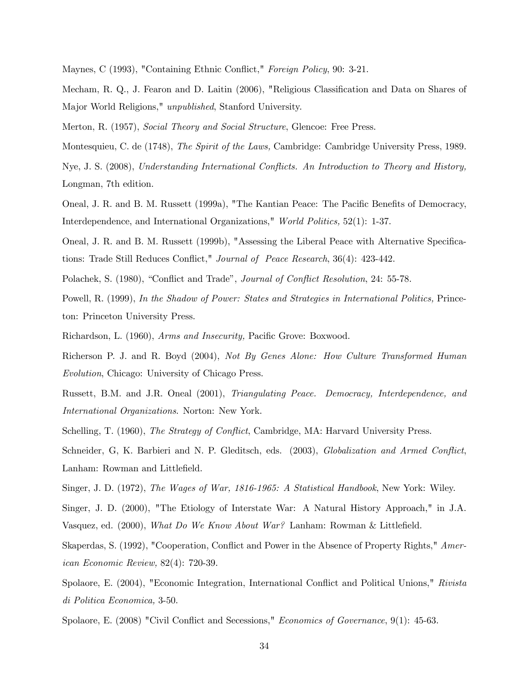Maynes, C (1993), "Containing Ethnic Conflict," Foreign Policy, 90: 3-21.

Mecham, R. Q., J. Fearon and D. Laitin (2006), "Religious Classification and Data on Shares of Major World Religions," unpublished, Stanford University.

Merton, R. (1957), Social Theory and Social Structure, Glencoe: Free Press.

Montesquieu, C. de (1748), The Spirit of the Laws, Cambridge: Cambridge University Press, 1989.

Nye, J. S. (2008), Understanding International Conflicts. An Introduction to Theory and History, Longman, 7th edition.

Oneal, J. R. and B. M. Russett (1999a), "The Kantian Peace: The Pacific Benefits of Democracy, Interdependence, and International Organizations," World Politics, 52(1): 1-37.

Oneal, J. R. and B. M. Russett (1999b), "Assessing the Liberal Peace with Alternative Specifications: Trade Still Reduces Conflict," Journal of Peace Research, 36(4): 423-442.

Polachek, S. (1980), "Conflict and Trade", Journal of Conflict Resolution, 24: 55-78.

Powell, R. (1999), In the Shadow of Power: States and Strategies in International Politics, Princeton: Princeton University Press.

Richardson, L. (1960), Arms and Insecurity, Pacific Grove: Boxwood.

Richerson P. J. and R. Boyd (2004), Not By Genes Alone: How Culture Transformed Human Evolution, Chicago: University of Chicago Press.

Russett, B.M. and J.R. Oneal (2001), Triangulating Peace. Democracy, Interdependence, and International Organizations. Norton: New York.

Schelling, T. (1960), *The Strategy of Conflict*, Cambridge, MA: Harvard University Press.

Schneider, G, K. Barbieri and N. P. Gleditsch, eds. (2003), Globalization and Armed Conflict, Lanham: Rowman and Littlefield.

Singer, J. D. (1972), The Wages of War, 1816-1965: A Statistical Handbook, New York: Wiley.

Singer, J. D. (2000), "The Etiology of Interstate War: A Natural History Approach," in J.A. Vasquez, ed. (2000), What Do We Know About War? Lanham: Rowman & Littlefield.

Skaperdas, S. (1992), "Cooperation, Conflict and Power in the Absence of Property Rights," American Economic Review, 82(4): 720-39.

Spolaore, E. (2004), "Economic Integration, International Conflict and Political Unions," Rivista di Politica Economica, 3-50.

Spolaore, E. (2008) "Civil Conflict and Secessions," Economics of Governance, 9(1): 45-63.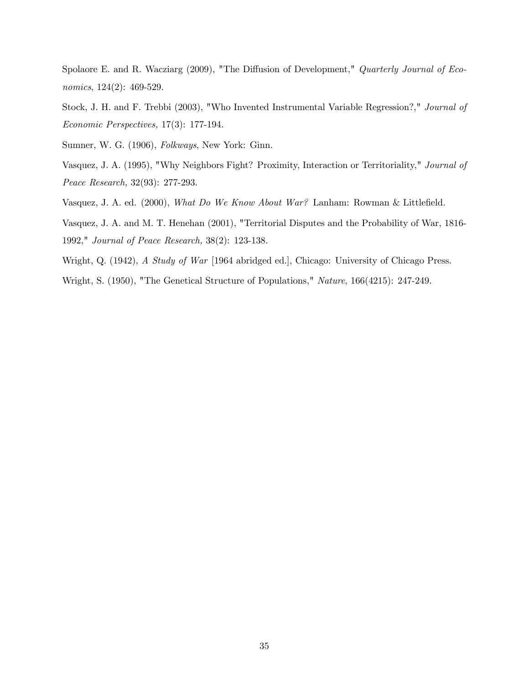Spolaore E. and R. Wacziarg (2009), "The Diffusion of Development," Quarterly Journal of Economics, 124(2): 469-529.

Stock, J. H. and F. Trebbi (2003), "Who Invented Instrumental Variable Regression?," Journal of Economic Perspectives, 17(3): 177-194.

Sumner, W. G. (1906), Folkways, New York: Ginn.

Vasquez, J. A. (1995), "Why Neighbors Fight? Proximity, Interaction or Territoriality," Journal of Peace Research, 32(93): 277-293.

Vasquez, J. A. ed. (2000), What Do We Know About War? Lanham: Rowman & Littlefield.

Vasquez, J. A. and M. T. Henehan (2001), "Territorial Disputes and the Probability of War, 1816- 1992," Journal of Peace Research, 38(2): 123-138.

Wright, Q. (1942), A Study of War [1964 abridged ed.], Chicago: University of Chicago Press.

Wright, S. (1950), "The Genetical Structure of Populations," Nature, 166(4215): 247-249.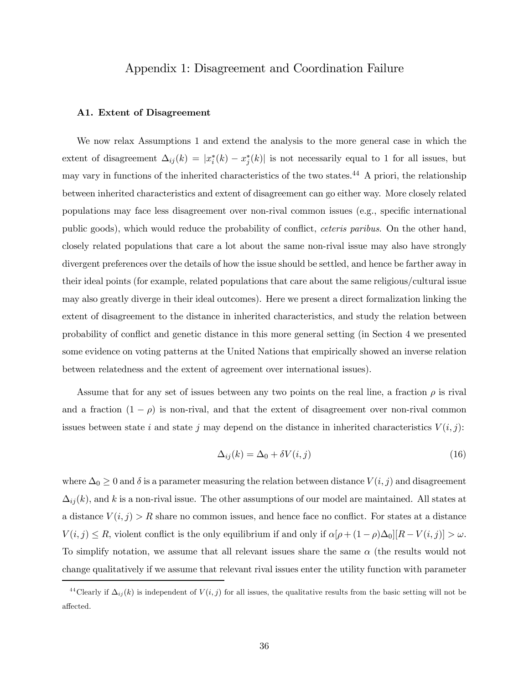# Appendix 1: Disagreement and Coordination Failure

#### A1. Extent of Disagreement

We now relax Assumptions 1 and extend the analysis to the more general case in which the extent of disagreement  $\Delta_{ij}(k) = |x_i^*(k) - x_j^*(k)|$  is not necessarily equal to 1 for all issues, but may vary in functions of the inherited characteristics of the two states.44 A priori, the relationship between inherited characteristics and extent of disagreement can go either way. More closely related populations may face less disagreement over non-rival common issues (e.g., specific international public goods), which would reduce the probability of conflict, ceteris paribus. On the other hand, closely related populations that care a lot about the same non-rival issue may also have strongly divergent preferences over the details of how the issue should be settled, and hence be farther away in their ideal points (for example, related populations that care about the same religious/cultural issue may also greatly diverge in their ideal outcomes). Here we present a direct formalization linking the extent of disagreement to the distance in inherited characteristics, and study the relation between probability of conflict and genetic distance in this more general setting (in Section 4 we presented some evidence on voting patterns at the United Nations that empirically showed an inverse relation between relatedness and the extent of agreement over international issues).

Assume that for any set of issues between any two points on the real line, a fraction  $\rho$  is rival and a fraction  $(1 - \rho)$  is non-rival, and that the extent of disagreement over non-rival common issues between state i and state j may depend on the distance in inherited characteristics  $V(i, j)$ :

$$
\Delta_{ij}(k) = \Delta_0 + \delta V(i, j) \tag{16}
$$

where  $\Delta_0 \geq 0$  and  $\delta$  is a parameter measuring the relation between distance  $V(i, j)$  and disagreement  $\Delta_{ij}(k)$ , and k is a non-rival issue. The other assumptions of our model are maintained. All states at a distance  $V(i, j) > R$  share no common issues, and hence face no conflict. For states at a distance  $V(i, j) \leq R$ , violent conflict is the only equilibrium if and only if  $\alpha[\rho + (1 - \rho)\Delta_0][R - V(i, j)] > \omega$ . To simplify notation, we assume that all relevant issues share the same  $\alpha$  (the results would not change qualitatively if we assume that relevant rival issues enter the utility function with parameter

<sup>&</sup>lt;sup>44</sup>Clearly if  $\Delta_{ij}(k)$  is independent of  $V(i, j)$  for all issues, the qualitative results from the basic setting will not be affected.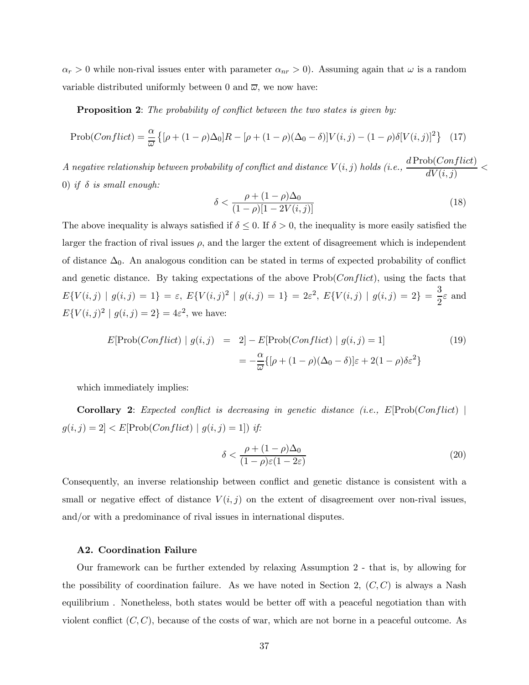$\alpha_r > 0$  while non-rival issues enter with parameter  $\alpha_{nr} > 0$ . Assuming again that  $\omega$  is a random variable distributed uniformly between 0 and  $\overline{\omega}$ , we now have:

Proposition 2: The probability of conflict between the two states is given by:

$$
\text{Prob}(Conflict) = \frac{\alpha}{\omega} \left\{ [\rho + (1 - \rho)\Delta_0]R - [\rho + (1 - \rho)(\Delta_0 - \delta)]V(i, j) - (1 - \rho)\delta[V(i, j)]^2 \right\} \tag{17}
$$

 $A$  negative relationship between probability of conflict and distance  $V(i,j)$  holds  $(i.e.,\frac{d\mathrm{Prob}(Conflict)}{dV(i,j)}<\frac{1}{2}$ 0) if  $\delta$  is small enough:

$$
\delta < \frac{\rho + (1 - \rho)\Delta_0}{(1 - \rho)[1 - 2V(i, j)]} \tag{18}
$$

The above inequality is always satisfied if  $\delta \leq 0$ . If  $\delta > 0$ , the inequality is more easily satisfied the larger the fraction of rival issues  $\rho$ , and the larger the extent of disagreement which is independent of distance  $\Delta_0$ . An analogous condition can be stated in terms of expected probability of conflict and genetic distance. By taking expectations of the above  $Prob(Conflict)$ , using the facts that  $E\{V(i,j) | g(i,j) = 1\} = \varepsilon, E\{V(i,j)^2 | g(i,j) = 1\} = 2\varepsilon^2, E\{V(i,j) | g(i,j) = 2\} = \frac{3}{2}\varepsilon$  and  $E{V(i, j)^2 | g(i, j) = 2} = 4\varepsilon^2$ , we have:

$$
E[\text{Prob}(Conflict) | g(i,j) = 2] - E[\text{Prob}(Conflict) | g(i,j) = 1]
$$
\n
$$
= -\frac{\alpha}{\overline{\omega}} \{ [\rho + (1 - \rho)(\Delta_0 - \delta)]\varepsilon + 2(1 - \rho)\delta\varepsilon^2 \}
$$
\n(19)

which immediately implies:

**Corollary 2:** Expected conflict is decreasing in genetic distance (i.e.,  $E[Prob(Conflict)]$ )  $g(i, j) = 2] < E[Prob(Conflict) | g(i, j) = 1])$  if:

$$
\delta < \frac{\rho + (1 - \rho)\Delta_0}{(1 - \rho)\varepsilon(1 - 2\varepsilon)}\tag{20}
$$

Consequently, an inverse relationship between conflict and genetic distance is consistent with a small or negative effect of distance  $V(i, j)$  on the extent of disagreement over non-rival issues, and/or with a predominance of rival issues in international disputes.

#### A2. Coordination Failure

Our framework can be further extended by relaxing Assumption 2 - that is, by allowing for the possibility of coordination failure. As we have noted in Section 2,  $(C, C)$  is always a Nash equilibrium . Nonetheless, both states would be better off with a peaceful negotiation than with violent conflict  $(C, C)$ , because of the costs of war, which are not borne in a peaceful outcome. As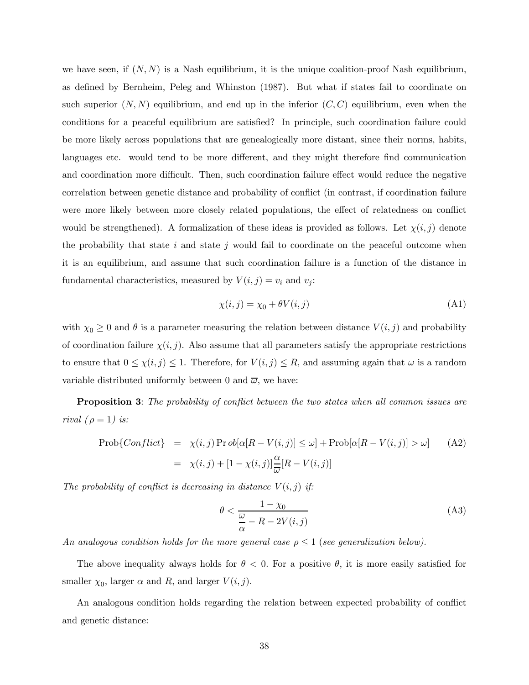we have seen, if  $(N, N)$  is a Nash equilibrium, it is the unique coalition-proof Nash equilibrium. as defined by Bernheim, Peleg and Whinston (1987). But what if states fail to coordinate on such superior  $(N, N)$  equilibrium, and end up in the inferior  $(C, C)$  equilibrium, even when the conditions for a peaceful equilibrium are satisfied? In principle, such coordination failure could be more likely across populations that are genealogically more distant, since their norms, habits, languages etc. would tend to be more different, and they might therefore find communication and coordination more difficult. Then, such coordination failure effect would reduce the negative correlation between genetic distance and probability of conflict (in contrast, if coordination failure were more likely between more closely related populations, the effect of relatedness on conflict would be strengthened). A formalization of these ideas is provided as follows. Let  $\chi(i, j)$  denote the probability that state i and state j would fail to coordinate on the peaceful outcome when it is an equilibrium, and assume that such coordination failure is a function of the distance in fundamental characteristics, measured by  $V(i, j) = v_i$  and  $v_j$ :

$$
\chi(i,j) = \chi_0 + \theta V(i,j) \tag{A1}
$$

with  $\chi_0 \geq 0$  and  $\theta$  is a parameter measuring the relation between distance  $V(i, j)$  and probability of coordination failure  $\chi(i, j)$ . Also assume that all parameters satisfy the appropriate restrictions to ensure that  $0 \leq \chi(i, j) \leq 1$ . Therefore, for  $V(i, j) \leq R$ , and assuming again that  $\omega$  is a random variable distributed uniformly between 0 and  $\overline{\omega}$ , we have:

**Proposition 3:** The probability of conflict between the two states when all common issues are rival  $(\rho = 1)$  is:

$$
\text{Prob}\{\text{Conflict}\} = \chi(i,j)\,\text{Pr}\,\text{ob}[\alpha[R - V(i,j)] \leq \omega] + \text{Prob}[\alpha[R - V(i,j)] > \omega] \tag{A2}
$$
\n
$$
= \chi(i,j) + [1 - \chi(i,j)]\frac{\alpha}{\omega}[R - V(i,j)]
$$

The probability of conflict is decreasing in distance  $V(i, j)$  if:

$$
\theta < \frac{1 - \chi_0}{\frac{\overline{\omega}}{\alpha} - R - 2V(i, j)}\tag{A3}
$$

An analogous condition holds for the more general case  $\rho \leq 1$  (see generalization below).

The above inequality always holds for  $\theta < 0$ . For a positive  $\theta$ , it is more easily satisfied for smaller  $\chi_0$ , larger  $\alpha$  and  $R$ , and larger  $V(i, j)$ .

An analogous condition holds regarding the relation between expected probability of conflict and genetic distance: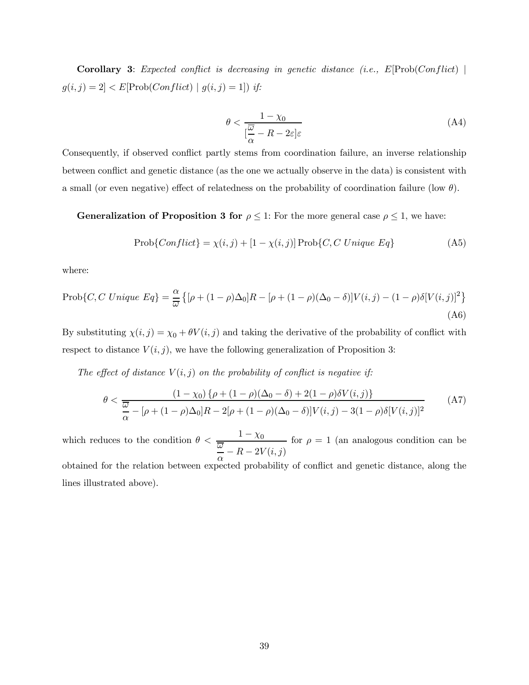**Corollary 3:** Expected conflict is decreasing in genetic distance (i.e.,  $E[Prob(Conflict)]$ )  $g(i,j) = 2] < E[\hbox{Prob}(Conflict)~|~g(i,j) = 1]) ~if:$ 

$$
\theta < \frac{1 - \chi_0}{\left[\frac{\overline{\omega}}{\alpha} - R - 2\varepsilon\right]\varepsilon} \tag{A4}
$$

Consequently, if observed conflict partly stems from coordination failure, an inverse relationship between conflict and genetic distance (as the one we actually observe in the data) is consistent with a small (or even negative) effect of relatedness on the probability of coordination failure (low  $\theta$ ).

**Generalization of Proposition 3 for**  $\rho \leq 1$ : For the more general case  $\rho \leq 1$ , we have:

$$
Prob{Conflict} = \chi(i, j) + [1 - \chi(i, j)] Prob{C, C\text{ }Unique\text{ }Eq}
$$
\n(A5)

where:

lines illustrated above).

$$
\text{Prob}\{C, C \text{ Unique } Eq\} = \frac{\alpha}{\omega} \left\{ [\rho + (1 - \rho)\Delta_0]R - [\rho + (1 - \rho)(\Delta_0 - \delta)]V(i, j) - (1 - \rho)\delta[V(i, j)]^2 \right\}
$$
\n(A6)

By substituting  $\chi(i, j) = \chi_0 + \theta V(i, j)$  and taking the derivative of the probability of conflict with respect to distance  $V(i, j)$ , we have the following generalization of Proposition 3:

The effect of distance  $V(i, j)$  on the probability of conflict is negative if:

$$
\theta < \frac{(1 - \chi_0) \{ \rho + (1 - \rho)(\Delta_0 - \delta) + 2(1 - \rho) \delta V(i, j) \}}{\frac{\overline{\omega}}{\alpha} - [\rho + (1 - \rho)\Delta_0]R - 2[\rho + (1 - \rho)(\Delta_0 - \delta)]V(i, j) - 3(1 - \rho)\delta[V(i, j)]^2}
$$
(A7)

which reduces to the condition  $\theta < \frac{1 - \chi_0}{\frac{\overline{\omega}}{\alpha} - R - 2V(i,j)}$ for  $\rho = 1$  (an analogous condition can be obtained for the relation between expected probability of conflict and genetic distance, along the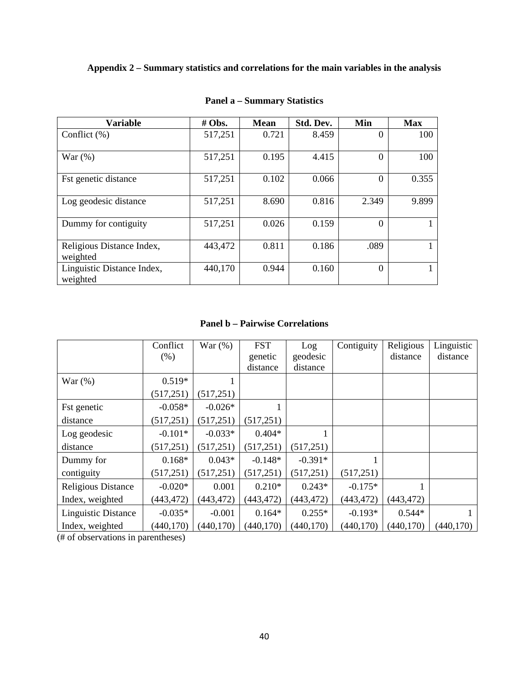# **Appendix 2 – Summary statistics and correlations for the main variables in the analysis**

| Variable                               | # Obs.  | <b>Mean</b> | Std. Dev. | Min      | <b>Max</b> |
|----------------------------------------|---------|-------------|-----------|----------|------------|
| Conflict $(\% )$                       | 517,251 | 0.721       | 8.459     | 0        | 100        |
| War $(%)$                              | 517,251 | 0.195       | 4.415     | $\Omega$ | 100        |
| <b>Fst genetic distance</b>            | 517,251 | 0.102       | 0.066     | $\Omega$ | 0.355      |
| Log geodesic distance                  | 517,251 | 8.690       | 0.816     | 2.349    | 9.899      |
| Dummy for contiguity                   | 517,251 | 0.026       | 0.159     | $\Omega$ |            |
| Religious Distance Index,<br>weighted  | 443,472 | 0.811       | 0.186     | .089     |            |
| Linguistic Distance Index,<br>weighted | 440,170 | 0.944       | 0.160     | $\Omega$ |            |

# **Panel a – Summary Statistics**

**Panel b – Pairwise Correlations** 

|                            | Conflict   | War(%)     | <b>FST</b> | Log        | Contiguity | Religious  | Linguistic |
|----------------------------|------------|------------|------------|------------|------------|------------|------------|
|                            | $(\% )$    |            | genetic    | geodesic   |            | distance   | distance   |
|                            |            |            | distance   | distance   |            |            |            |
| War $(\%)$                 | $0.519*$   |            |            |            |            |            |            |
|                            | (517, 251) | (517, 251) |            |            |            |            |            |
| <b>Fst</b> genetic         | $-0.058*$  | $-0.026*$  |            |            |            |            |            |
| distance                   | (517, 251) | (517, 251) | (517, 251) |            |            |            |            |
| Log geodesic               | $-0.101*$  | $-0.033*$  | $0.404*$   |            |            |            |            |
| distance                   | (517, 251) | (517, 251) | (517, 251) | (517, 251) |            |            |            |
| Dummy for                  | $0.168*$   | $0.043*$   | $-0.148*$  | $-0.391*$  |            |            |            |
| contiguity                 | (517, 251) | (517, 251) | (517, 251) | (517, 251) | (517, 251) |            |            |
| <b>Religious Distance</b>  | $-0.020*$  | 0.001      | $0.210*$   | $0.243*$   | $-0.175*$  |            |            |
| Index, weighted            | (443, 472) | (443, 472) | (443, 472) | (443, 472) | (443, 472) | (443, 472) |            |
| <b>Linguistic Distance</b> | $-0.035*$  | $-0.001$   | $0.164*$   | $0.255*$   | $-0.193*$  | $0.544*$   |            |
| Index, weighted            | (440, 170) | (440, 170) | (440, 170) | (440, 170) | (440, 170) | (440, 170) | (440, 170) |

(# of observations in parentheses)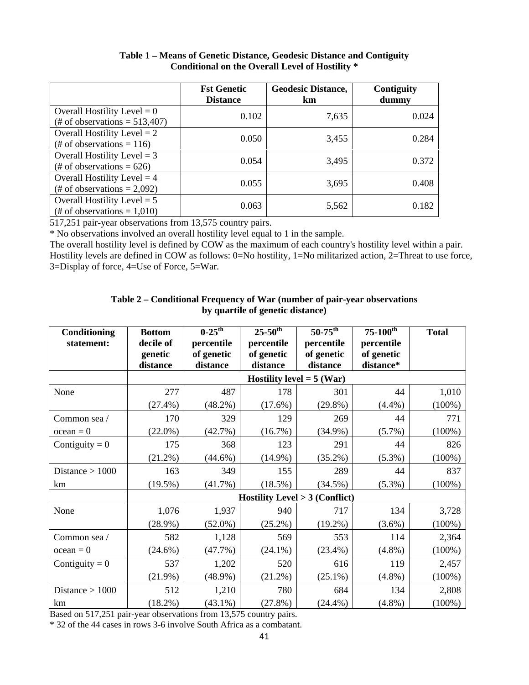|                                                                   | <b>Fst Genetic</b><br><b>Distance</b> | <b>Geodesic Distance,</b><br>km | Contiguity<br>dummy |
|-------------------------------------------------------------------|---------------------------------------|---------------------------------|---------------------|
| Overall Hostility Level $= 0$<br>(# of observations = $513,407$ ) | 0.102                                 | 7,635                           | 0.024               |
| Overall Hostility Level $= 2$<br>(# of observations = 116)        | 0.050                                 | 3,455                           | 0.284               |
| Overall Hostility Level $=$ 3<br>(# of observations = $626$ )     | 0.054                                 | 3,495                           | 0.372               |
| Overall Hostility Level $=$ 4<br>(# of observations = $2,092$ )   | 0.055                                 | 3,695                           | 0.408               |
| Overall Hostility Level $= 5$<br>(# of observations = $1,010$ )   | 0.063                                 | 5,562                           | 0.182               |

# **Table 1 – Means of Genetic Distance, Geodesic Distance and Contiguity Conditional on the Overall Level of Hostility \***

517,251 pair-year observations from 13,575 country pairs.

\* No observations involved an overall hostility level equal to 1 in the sample.

The overall hostility level is defined by COW as the maximum of each country's hostility level within a pair. Hostility levels are defined in COW as follows: 0=No hostility, 1=No militarized action, 2=Threat to use force, 3=Display of force, 4=Use of Force, 5=War.

## **Table 2 – Conditional Frequency of War (number of pair-year observations by quartile of genetic distance)**

| Conditioning      | <b>Bottom</b> | $0-25$ <sup>th</sup> | $25 - 50$ <sup>th</sup>          | $50-75^{\rm th}$                         | $75 - 100^{th}$ | <b>Total</b> |
|-------------------|---------------|----------------------|----------------------------------|------------------------------------------|-----------------|--------------|
| statement:        | decile of     | percentile           | percentile                       | percentile                               | percentile      |              |
|                   | genetic       | of genetic           | of genetic                       | of genetic                               | of genetic      |              |
|                   | distance      | distance             | distance                         | distance                                 | distance*       |              |
|                   |               |                      | <b>Hostility level = 5 (War)</b> |                                          |                 |              |
| None              | 277           | 487                  | 178                              | 301                                      | 44              | 1,010        |
|                   | $(27.4\%)$    | $(48.2\%)$           | $(17.6\%)$                       | $(29.8\%)$                               | (4.4%)          | $(100\%)$    |
| Common sea /      | 170           | 329                  | 129                              | 269                                      | 44              | 771          |
| $ocean = 0$       | $(22.0\%)$    | $(42.7\%)$           | $(16.7\%)$                       | $(34.9\%)$                               | $(5.7\%)$       | $(100\%)$    |
| Contiguity = $0$  | 175           | 368                  | 123                              | 291                                      | 44              | 826          |
|                   | $(21.2\%)$    | $(44.6\%)$           | $(14.9\%)$                       | $(35.2\%)$                               | $(5.3\%)$       | $(100\%)$    |
| Distance $> 1000$ | 163           | 349                  | 155                              | 289                                      | 44              | 837          |
| km                | $(19.5\%)$    | $(41.7\%)$           | $(18.5\%)$                       | $(34.5\%)$                               | $(5.3\%)$       | $(100\%)$    |
|                   |               |                      |                                  | <b>Hostility Level &gt; 3 (Conflict)</b> |                 |              |
| None              | 1,076         | 1,937                | 940                              | 717                                      | 134             | 3,728        |
|                   | $(28.9\%)$    | $(52.0\%)$           | $(25.2\%)$                       | $(19.2\%)$                               | $(3.6\%)$       | $(100\%)$    |
| Common sea /      | 582           | 1,128                | 569                              | 553                                      | 114             | 2,364        |
| $ocean = 0$       | $(24.6\%)$    | (47.7%)              | $(24.1\%)$                       | $(23.4\%)$                               | $(4.8\%)$       | $(100\%)$    |
| Contiguity = $0$  | 537           | 1,202                | 520                              | 616                                      | 119             | 2,457        |
|                   | $(21.9\%)$    | $(48.9\%)$           | $(21.2\%)$                       | $(25.1\%)$                               | $(4.8\%)$       | $(100\%)$    |
| Distance $> 1000$ | 512           | 1,210                | 780                              | 684                                      | 134             | 2,808        |
| km                | $(18.2\%)$    | $(43.1\%)$           | (27.8%)                          | $(24.4\%)$                               | $(4.8\%)$       | $(100\%)$    |

Based on 517,251 pair-year observations from 13,575 country pairs.

\* 32 of the 44 cases in rows 3-6 involve South Africa as a combatant.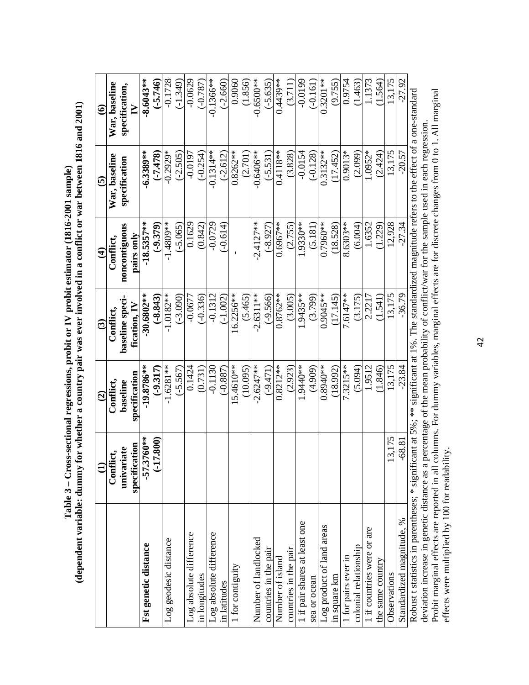|                                                                                                                                                  | $\widehat{\Xi}$             | $\widehat{\mathbf{c}}$    | $\widehat{\mathbf{c}}$         | $\widehat{\mathbf{f}}$      | $\widehat{\mathbf{e}}$ | $\widehat{\bullet}$ |
|--------------------------------------------------------------------------------------------------------------------------------------------------|-----------------------------|---------------------------|--------------------------------|-----------------------------|------------------------|---------------------|
|                                                                                                                                                  | Conflict,                   | Conflict                  | Conflict.                      | Conflict.                   | War, baseline          | War, baseline       |
|                                                                                                                                                  | specification<br>univariate | specification<br>baseline | baseline speci<br>fication, IV | noncontiguous<br>pairs only | specification          | specification,<br>≧ |
| Fst genetic distance                                                                                                                             | ;760**<br>$-57.3$           | $-19.8786***$             | $-30.6802**$                   | $-18.5357**$                | $-6.3389**$            | $-8.6043**$         |
|                                                                                                                                                  | (17.800)                    | $(-9.317)$                | $-8.843$                       | $(-9.379)$                  | (57.478)               | $( -5.746)$         |
| Log geodesic distance                                                                                                                            |                             | $-1.6281**$               | $-1.0182**$                    | $-1.4809**$                 | $-0.2929*$             | $-0.1728$           |
|                                                                                                                                                  |                             | $(-5.567)$                | $(-3.090)$                     | $(-5.065)$                  | $(-2.505)$             | $(-1.349)$          |
| Log absolute difference                                                                                                                          |                             | 0.1424                    | $-0.0677$                      | 0.1629                      | $-0.0197$              | $-0.0629$           |
| in longitudes                                                                                                                                    |                             | (0.731)                   | $(-0.336)$                     | (0.842)                     | $(-0.254)$             | $(-0.787)$          |
| Log absolute difference                                                                                                                          |                             | $-0.1130$                 | $-0.1312$                      | $-0.0729$                   | $-0.1314**$            | $-0.1366***$        |
| in latitudes                                                                                                                                     |                             | $(-0.887)$                | $(-1.002)$                     | $-0.614$                    | $(-2.612)$             | $(-2.660)$          |
| 1 for contiguity                                                                                                                                 |                             | 15.4610**                 | $16.2256**$                    |                             | $0.8262**$             | 0.9060              |
|                                                                                                                                                  |                             | (10.095)                  | (5.465)                        |                             | (2.701)                | 1.856               |
| Number of landlocked                                                                                                                             |                             | $-2.6247**$               | $-2.6311**$                    | $-2.4127**$                 | $-0.6406**$            | $-0.6500**$         |
| countries in the pair                                                                                                                            |                             | $(-9.471)$                | $(-9.566)$                     | $(-8.927)$                  | $(-5.531)$             | $(-5.635)$          |
| Number of island                                                                                                                                 |                             | $0.8212***$               | $0.8762**$                     | $0.6967***$                 | $0.4118**$             | $0.4439***$         |
| countries in the pair                                                                                                                            |                             | (2.923)                   | (3.005)                        | (2.755)                     | (3.828)                | (3.711)             |
| I if pair shares at least one                                                                                                                    |                             | 1.9440**                  | 1.9435**                       | 1.9330**                    | $-0.0154$              | $-0.0199$           |
| sea or ocean                                                                                                                                     |                             | (4.909)                   | (3.799)                        | (5.181)                     | $(-0.128)$             | $(-0.161)$          |
| Log product of land areas                                                                                                                        |                             | $0.8940**$                | $0.9045**$                     | 0.7960**                    | $0.3132***$            | $0.3201**$          |
| in square km                                                                                                                                     |                             | (18.992)                  | (17.145)                       | (18.528)                    | (17.452)               | (9.755)             |
| 1 for pairs ever in                                                                                                                              |                             | $7.3215***$               | 7.6147**                       | 8.6303**                    | $0.9013*$              | 0.9754              |
| colonial relationship                                                                                                                            |                             | (5.094)                   | (3.175)                        | (6.004)                     | (2.099)                | (1.463)             |
| 1 if countries were or are                                                                                                                       |                             | 1.9512                    | 2.2217                         | 1.6352                      | 1.0952*                | 1.1373              |
| the same country                                                                                                                                 |                             | (1.846)                   | (1.541)                        | (1.229)                     | (2.424)                | 1.564               |
| Observations                                                                                                                                     | 13.175                      | 13.175                    | 13.175                         | 12.928                      | 13.175                 | 13.175              |
| Standardized magnitude, %                                                                                                                        | $-68.81$                    | $-23.84$                  | $-36.79$                       | $-27.34$                    | $-20.57$               | $-27.92$            |
| Robust t statistics in parentheses; * significant at 5%; ** significant at 1%. The standardized magnitude refers to the effect of a one-standard |                             |                           |                                |                             |                        |                     |

Table 3 – Cross-sectional regressions, probit or IV probit estimator (1816-2001 sample)<br>(dependent variable: dummy for whether a country pair was ever involved in a conflict or war between 1816 and 2001) **(dependent variable: dummy for whether a country pair was ever involved in a conflict or war between 1816 and 2001) Table 3 – Cross-sectional regressions, probit or IV probit estimator (1816-2001 sample)** 

deviation increase in genetic distance as a percentage of the mean probability of conflict/war for the sample used in each regression.<br>Probit marginal effects are reported in all columns. For dummy variables, marginal effe Probit marginal effects are reported in all columns. For dummy variables, marginal effects are for discrete changes from 0 to 1. All marginal deviation increase in genetic distance as a percentage of the mean probability of conflict/war for the sample used in each regression. effects were multiplied by 100 for readability.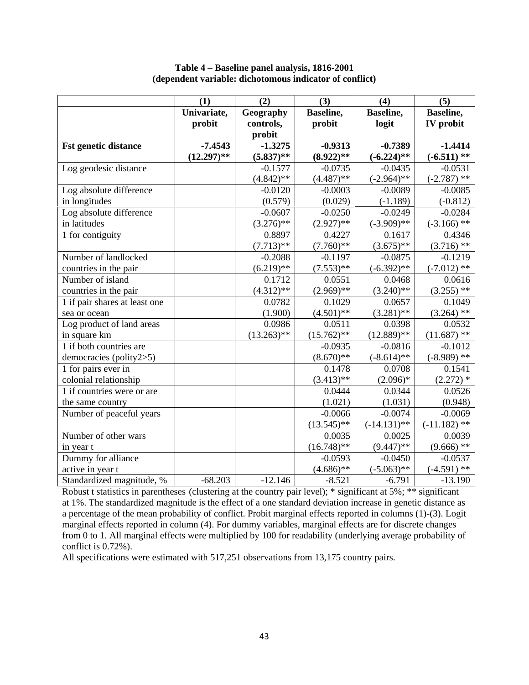**Table 4 – Baseline panel analysis, 1816-2001 (dependent variable: dichotomous indicator of conflict)** 

|                               | (1)           | (2)           | (3)               | (4)            | (5)              |
|-------------------------------|---------------|---------------|-------------------|----------------|------------------|
|                               | Univariate,   | Geography     | <b>Baseline</b> , | Baseline,      | Baseline,        |
|                               | probit        | controls,     | probit            | logit          | <b>IV</b> probit |
|                               |               | probit        |                   |                |                  |
| <b>Fst genetic distance</b>   | $-7.4543$     | $-1.3275$     | $-0.9313$         | $-0.7389$      | $-1.4414$        |
|                               | $(12.297)$ ** | $(5.837)$ **  | $(8.922)$ **      | $(-6.224)$ **  | $(-6.511)$ **    |
| Log geodesic distance         |               | $-0.1577$     | $-0.0735$         | $-0.0435$      | $-0.0531$        |
|                               |               | $(4.842)$ **  | $(4.487)$ **      | $(-2.964)$ **  | $(-2.787)$ **    |
| Log absolute difference       |               | $-0.0120$     | $-0.0003$         | $-0.0089$      | $-0.0085$        |
| in longitudes                 |               | (0.579)       | (0.029)           | $(-1.189)$     | $(-0.812)$       |
| Log absolute difference       |               | $-0.0607$     | $-0.0250$         | $-0.0249$      | $-0.0284$        |
| in latitudes                  |               | $(3.276)$ **  | $(2.927)$ **      | $(-3.909)$ **  | $(-3.166)$ **    |
| 1 for contiguity              |               | 0.8897        | 0.4227            | 0.1617         | 0.4346           |
|                               |               | $(7.713)**$   | $(7.760)$ **      | $(3.675)$ **   | $(3.716)$ **     |
| Number of landlocked          |               | $-0.2088$     | $-0.1197$         | $-0.0875$      | $-0.1219$        |
| countries in the pair         |               | $(6.219)$ **  | $(7.553)$ **      | $(-6.392)$ **  | $(-7.012)$ **    |
| Number of island              |               | 0.1712        | 0.0551            | 0.0468         | 0.0616           |
| countries in the pair         |               | $(4.312)$ **  | $(2.969)$ **      | $(3.240)$ **   | $(3.255)$ **     |
| 1 if pair shares at least one |               | 0.0782        | 0.1029            | 0.0657         | 0.1049           |
| sea or ocean                  |               | (1.900)       | $(4.501)$ **      | $(3.281)$ **   | $(3.264)$ **     |
| Log product of land areas     |               | 0.0986        | 0.0511            | 0.0398         | 0.0532           |
| in square km                  |               | $(13.263)$ ** | $(15.762)$ **     | $(12.889)$ **  | $(11.687)$ **    |
| 1 if both countries are       |               |               | $-0.0935$         | $-0.0816$      | $-0.1012$        |
| democracies (polity2>5)       |               |               | $(8.670)$ **      | $(-8.614)$ **  | $(-8.989)$ **    |
| 1 for pairs ever in           |               |               | 0.1478            | 0.0708         | 0.1541           |
| colonial relationship         |               |               | $(3.413)$ **      | $(2.096)*$     | $(2.272)$ *      |
| 1 if countries were or are    |               |               | 0.0444            | 0.0344         | 0.0526           |
| the same country              |               |               | (1.021)           | (1.031)        | (0.948)          |
| Number of peaceful years      |               |               | $-0.0066$         | $-0.0074$      | $-0.0069$        |
|                               |               |               | $(13.545)$ **     | $(-14.131)$ ** | $(-11.182)$ **   |
| Number of other wars          |               |               | 0.0035            | 0.0025         | 0.0039           |
| in year t                     |               |               | $(16.748)$ **     | $(9.447)$ **   | $(9.666)$ **     |
| Dummy for alliance            |               |               | $-0.0593$         | $-0.0450$      | $-0.0537$        |
| active in year t              |               |               | $(4.686)$ **      | $(-5.063)$ **  | $(-4.591)$ **    |
| Standardized magnitude, %     | $-68.203$     | $-12.146$     | $-8.521$          | $-6.791$       | $-13.190$        |

Robust t statistics in parentheses (clustering at the country pair level); \* significant at 5%; \*\* significant at 1%. The standardized magnitude is the effect of a one standard deviation increase in genetic distance as a percentage of the mean probability of conflict. Probit marginal effects reported in columns (1)-(3). Logit marginal effects reported in column (4). For dummy variables, marginal effects are for discrete changes from 0 to 1. All marginal effects were multiplied by 100 for readability (underlying average probability of conflict is 0.72%).

All specifications were estimated with 517,251 observations from 13,175 country pairs.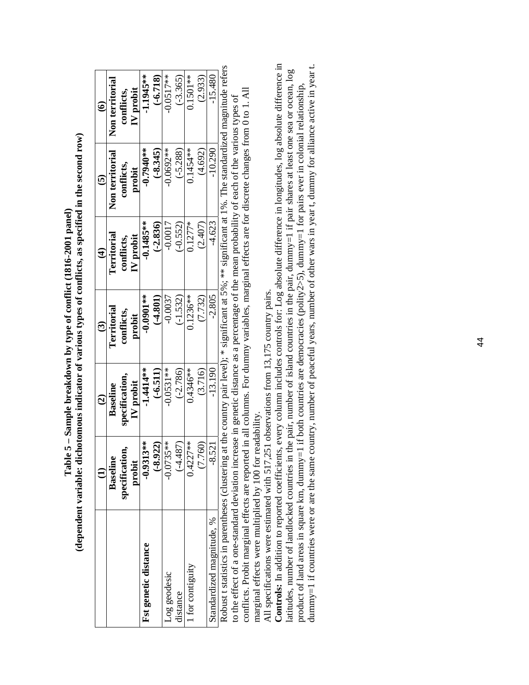|                                                |                | $\widehat{c}$                                                                                                 | $\widehat{\mathcal{C}}$ | $\widehat{\mathbf{f}}$ | $\widehat{\mathbf{e}}$ | $\widehat{\bullet}$ |
|------------------------------------------------|----------------|---------------------------------------------------------------------------------------------------------------|-------------------------|------------------------|------------------------|---------------------|
|                                                | Baseline       | Baseline                                                                                                      | Territorial             | <b>Territorial</b>     | Non territorial        | Non territorial     |
|                                                | specification, | specification.                                                                                                | conflicts.              | conflicts,             | conflicts,             | conflicts,          |
|                                                | probit         | IV probit                                                                                                     | probit                  | IV probit              | probit                 | IV probit           |
| Fst genetic distance                           | $-0.9313**$    | $-1.4114*$                                                                                                    | $-0.0001**$             | $-0.1485***$           | $-0.7940**$            | $-1.1945**$         |
|                                                | $(-8.922)$     | $(-6.511)$                                                                                                    | $(-4.801)$              | $(-2.836)$             | $(-8.345)$             | $(-6.718)$          |
| Log geodesic                                   | $-0.0735**$    | $-0.0531***$                                                                                                  | $-0.0037$               | $-0.0017$              | $-0.0692**$            | $-0.0517**$         |
| distance                                       | $(-4.487)$     | $(-2.786)$                                                                                                    | $(-1.532)$              | $(-0.552)$             | $(-5.288)$             | $(-3.365)$          |
| for contiguity                                 | 0.4227**       | $0.4346**$                                                                                                    | $0.1236***$             | $0.1277*$              | $0.1454**$             | $0.1501**$          |
|                                                | (7.760)        | (3.716)                                                                                                       | (7.732)                 | (2.407)                | (4.692)                | (2.933)             |
| Standardized magnitude, %                      | $-8.521$       | $-13.190$                                                                                                     | $-2.805$                | $-4.623$               | $-10.290$              | $-15.480$           |
| Robust t statistics in narentheses (clustering |                | z at the country pair level): * significant at $5\%$ : ** significant at 1%. The standardized magnitude refer |                         |                        |                        |                     |

**(dependent variable: dichotomous indicator of various types of conflicts, as specified in the second row)**  (dependent variable: dichotomous indicator of various types of conflicts, as specified in the second row) **Table 5 – Sample breakdown by type of conflict (1816-2001 panel)**  Table 5 - Sample breakdown by type of conflict (1816-2001 panel)

Robust t statistics in parentheses (clustering at the country pair level); \* significant at 5%; \*\* significant at 1%. The standardized magnitude refers ers conflicts. Probit marginal effects are reported in all columns. For dummy variables, marginal effects are for discrete changes from 0 to 1. All conflicts. Probit marginal effects are reported in all columns. For dummy variables, marginal effects are for discrete changes from 0 to 1. All to the effect of a one-standard deviation increase in genetic distance as a percentage of the mean probability of each of the various types of to the effect of a one-standard deviation increase in genetic distance as a percentage of the mean probability of each of the various types of  $1.14$  $\pi$ ms county pan rever), marginal effects were multiplied by 100 for readability. marginal effects were multiplied by 100 for readability. Robust t statistics in barenteses (crustering at me

All specifications were estimated with 517,251 observations from 13,175 country pairs. All specifications were estimated with 517,251 observations from 13,175 country pairs.

**Controls:** In addition to reported coefficients, every column includes controls for: Log absolute difference in longitudes, log absolute difference in dummy=1 if countries were or are the same country, number of peaceful years, number of other wars in year t, dummy for alliance active in year t. Controls: In addition to reported coefficients, every column includes controls for: Log absolute difference in longitudes, log absolute difference in dummy=1 if countries were or are the same country, number of peaceful years, number of other wars in year t, dummy for alliance active in year t. latitudes, number of landlocked countries in the pair, number of island countries in the pair, dummy=1 if pair shares at least one sea or ocean, log latitudes, number of landlocked countries in the pair, number of island countries in the pair, dummy=1 if pair shares at least one sea or ocean, log product of land areas in square km, dummy=1 if both countries are democracies (polity2>5), dummy=1 for pairs ever in colonial relationship, product of land areas in square km, dummy=1 if both countries are democracies (polity2>5), dummy=1 for pairs ever in colonial relationship,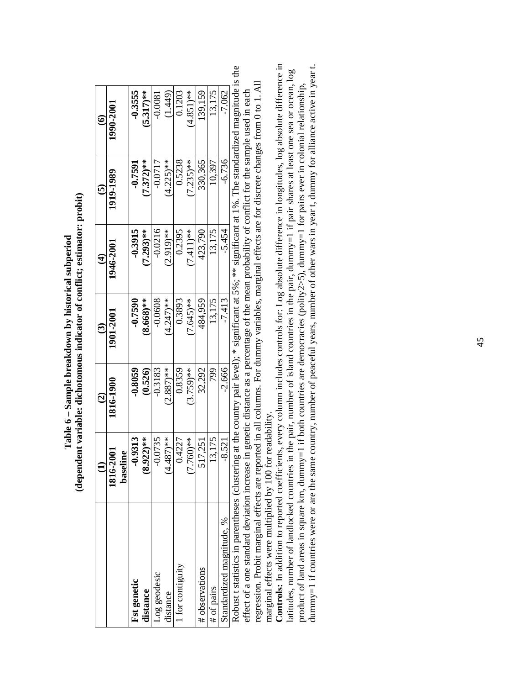| $(7.235)$ **<br>$(7.372)**$<br>$(4.225)$ **<br>0.5238<br>330,365<br>$-0.0717$<br>10,397<br>$-0.7591$<br>1919-1989<br>$-0.0216$<br>$7.293$ <sup>**</sup><br>0.2395<br>$(7.411)^{**}$<br>$-0.3915$<br>$2.919$ <sup>**</sup><br>423,790<br>13,175<br>1946-2001<br>$7.645$ <sup>**</sup><br>$8.668$ <sup>**</sup><br>$-0.0608$<br>0.3893<br>484,959<br>$-0.7590$<br>$4.247$ <sup>**</sup><br>13,175<br>901-2001<br>0.8359<br>$(3.759)$ **<br>799<br>$-0.3183$<br>32,292<br>$2.887$ <sup>**</sup><br>$-0.8059$<br>(0.526)<br>1816-1900<br>$.922$ <sup>**</sup><br>$.760$ <sup>**</sup><br>$.487$ <sup>**</sup><br>13,175<br>$-0.9313$<br>$-0.0735$<br>0.4227<br>517,251<br>$-2001$<br>eline<br>1816-<br>့စ<br>base<br>t for contiguity<br># observations<br>Log geodesic<br><b>Fst genetic</b><br># of pairs<br>distance<br>distance |                           |          | $\widehat{c}$ | $\widehat{\mathcal{O}}$ | $\widehat{\mathbf{f}}$ | $\widehat{\mathbf{e}}$ | $\hat{\bullet}$       |
|---------------------------------------------------------------------------------------------------------------------------------------------------------------------------------------------------------------------------------------------------------------------------------------------------------------------------------------------------------------------------------------------------------------------------------------------------------------------------------------------------------------------------------------------------------------------------------------------------------------------------------------------------------------------------------------------------------------------------------------------------------------------------------------------------------------------------------|---------------------------|----------|---------------|-------------------------|------------------------|------------------------|-----------------------|
|                                                                                                                                                                                                                                                                                                                                                                                                                                                                                                                                                                                                                                                                                                                                                                                                                                 |                           |          |               |                         |                        |                        | 1990-2001             |
|                                                                                                                                                                                                                                                                                                                                                                                                                                                                                                                                                                                                                                                                                                                                                                                                                                 |                           |          |               |                         |                        |                        | $-0.3555$             |
|                                                                                                                                                                                                                                                                                                                                                                                                                                                                                                                                                                                                                                                                                                                                                                                                                                 |                           |          |               |                         |                        |                        | $5.317$ <sup>**</sup> |
|                                                                                                                                                                                                                                                                                                                                                                                                                                                                                                                                                                                                                                                                                                                                                                                                                                 |                           |          |               |                         |                        |                        | $-0.0081$             |
|                                                                                                                                                                                                                                                                                                                                                                                                                                                                                                                                                                                                                                                                                                                                                                                                                                 |                           |          |               |                         |                        |                        | (1.449)               |
|                                                                                                                                                                                                                                                                                                                                                                                                                                                                                                                                                                                                                                                                                                                                                                                                                                 |                           |          |               |                         |                        |                        | 0.1203                |
|                                                                                                                                                                                                                                                                                                                                                                                                                                                                                                                                                                                                                                                                                                                                                                                                                                 |                           |          |               |                         |                        |                        | $(4.851)$ **          |
|                                                                                                                                                                                                                                                                                                                                                                                                                                                                                                                                                                                                                                                                                                                                                                                                                                 |                           |          |               |                         |                        |                        | 139,159               |
|                                                                                                                                                                                                                                                                                                                                                                                                                                                                                                                                                                                                                                                                                                                                                                                                                                 |                           |          |               |                         |                        |                        | 13,175                |
|                                                                                                                                                                                                                                                                                                                                                                                                                                                                                                                                                                                                                                                                                                                                                                                                                                 | Standardized magnitude, % | $-8.521$ | $-2.666$      | $-7.413$                | $-5.454$               | $-6.736$               | $-7.062$              |

**(dependent variable: dichotomous indicator of conflict; estimator: probit)**  (dependent variable: dichotomous indicator of conflict; estimator: probit) **Table 6 – Sample breakdown by historical subperiod**  Table 6 - Sample breakdown by historical subperiod

Robust t statistics in parentheses (clustering at the country pair level); \* significant at 5%; \*\* significant at 1%. The standardized magnitude is the Robust t statistics in parentheses (clustering at the country pair level); \* significant at 5%; \*\* significant at 1%. The standardized magnitude is the regression. Probit marginal effects are reported in all columns. For dummy variables, marginal effects are for discrete changes from 0 to 1. All regression. Probit marginal effects are reported in all columns. For dummy variables, marginal effects are for discrete changes from 0 to 1. All effect of a one standard deviation increase in genetic distance as a percentage of the mean probability of conflict for the sample used in each effect of a one standard deviation increase in genetic distance as a percentage of the mean probability of conflict for the sample used in each

**Controls:** In addition to reported coefficients, every column includes controls for: Log absolute difference in longitudes, log absolute difference in Controls: In addition to reported coefficients, every column includes controls for: Log absolute difference in longitudes, log absolute difference in dummy=1 if countries were or are the same country, number of peaceful years, number of other wars in year t, dummy for alliance active in year t. dummy=1 if countries were or are the same country, number of peaceful years, number of other wars in year t, dummy for alliance active in year t. latitudes, number of landlocked countries in the pair, number of island countries in the pair, dummy=1 if pair shares at least one sea or ocean, log latitudes, number of landlocked countries in the pair, number of island countries in the pair, dummy=1 if pair shares at least one sea or ocean, log product of land areas in square km, dummy=1 if both countries are democracies (polity2>5), dummy=1 for pairs ever in colonial relationship, product of land areas in square km, dummy=1 if both countries are democracies (polity2>5), dummy=1 for pairs ever in colonial relationship, marginal effects were multiplied by 100 for readability. marginal effects were multiplied by 100 for readability.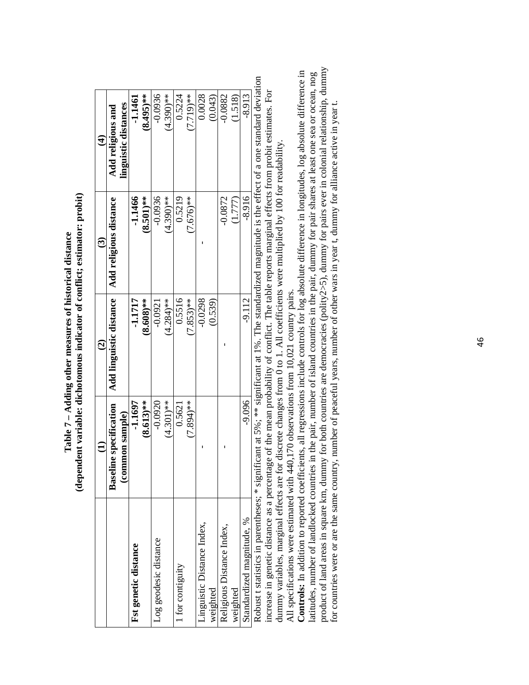|                           |                                       | $\widehat{\mathbf{c}}$  | ල                      | $\widehat{\mathbf{f}}$ |
|---------------------------|---------------------------------------|-------------------------|------------------------|------------------------|
|                           | eline specification<br>Base           | Add linguistic distance | Add religious distance | Add religious and      |
|                           | ommon sample)<br>$\tilde{\mathbf{c}}$ |                         |                        | linguistic distances   |
| Fst genetic distance      | $-1.1697$                             | -1.1717                 | $-1.1466$              | -1.1461                |
|                           | $(8.613)**$                           | $(8.608)$ **            | $(8.501)$ **           | $(8.495)$ **           |
| Log geodesic distance     | $-0.0920$                             | $-0.0921$               | $-0.0936$              | $-0.0936$              |
|                           | $(4.301)$ **                          | $(4.284)$ **            | $(4.390)$ **           | $(4.390)$ **           |
| for contiguity            | 0.5621                                | 0.5516                  | 0.5219                 | 0.5224                 |
|                           | $(7.894)$ **                          | $7.853$ <sup>**</sup>   | $(7.676)**$            | $7.719$ <sup>**</sup>  |
| inguistic Distance Index. |                                       | $-0.0298$               |                        | 0.0028                 |
| weighted                  |                                       | (0.539)                 |                        | (0.043)                |
| Religious Distance Index  |                                       |                         | $-0.0872$              | $-0.0882$              |
| weighted                  |                                       |                         | (1.777)                | (1.518)                |
| Standardized magnitude, % | $-9.096$                              | $-9.112$                | $-8.916$               | $-8.913$               |
|                           | j<br>í                                |                         |                        |                        |

**(dependent variable: dichotomous indicator of conflict; estimator: probit)**  (dependent variable: dichotomous indicator of conflict; estimator: probit) **Table 7 – Adding other measures of historical distance**  Table 7 - Adding other measures of historical distance

Robust t statistics in parentheses; \* significant at 5%; \*\* significant at 1%. The standardized magnitude is the effect of a one standard deviation Robust t statistics in parentheses; \* significant at 5%; \*\*\* significant at 1%. The standardized magnitude is the effect of a one standard deviation increase in genetic distance as a percentage of the mean probability of conflict. The table reports marginal effects from probit estimates. For increase in genetic distance as a percentage of the mean probability of conflict. The table reports marginal effects from probit estimates. For dummy variables, marginal effects are for discrete changes from 0 to 1. All coefficients were multiplied by 100 for readability. dummy variables, marginal effects are for discrete changes from 0 to 1. All coefficients were multiplied by 100 for readability.

All specifications were estimated with 440,170 observations from 10,021 country pairs. All specifications were estimated with 440,170 observations from 10,021 country pairs.

product of land areas in square km, dummy for both countries are democracies (polity2>5), dummy for pairs ever in colonial relationship, dummy product of land areas in square km, dummy for both countries are democracies (polity2>5), dummy for pairs ever in colonial relationship, dummy **Controls:** In addition to reported coefficients, all regressions include controls for log absolute difference in longitudes, log absolute difference in Controls: In addition to reported coefficients, all regressions include controls for log absolute difference in longitudes, log absolute difference in latitudes, number of landlocked countries in the pair, number of island countries in the pair, dummy for pair shares at least one sea or ocean, nog latitudes, number of landlocked countries in the pair, number of island countries in the pair, dummy for pair shares at least one sea or ocean, nog for countries were or are the same country, number of peaceful years, number of other wars in year t, dummy for alliance active in year t. for countries were or are the same country, number of peaceful years, number of other wars in year t, dummy for alliance active in year t.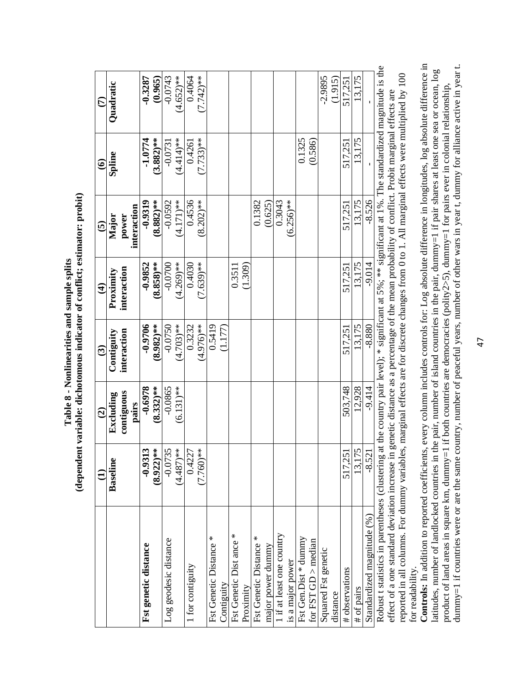|                                                                                                                                                         |             | $\widehat{c}$       | $\widehat{\mathbf{c}}$ | $\widehat{\mathbf{f}}$ | $\widehat{\mathbf{e}}$                                                                            | $\widehat{\mathbf{e}}$ | $\widehat{\epsilon}$ |
|---------------------------------------------------------------------------------------------------------------------------------------------------------|-------------|---------------------|------------------------|------------------------|---------------------------------------------------------------------------------------------------|------------------------|----------------------|
|                                                                                                                                                         | Baseline    | Excluding           | Contiguity             | Proximity              | Major                                                                                             | Spline                 | Quadratic            |
|                                                                                                                                                         |             | contiguous<br>pairs | interaction            | interaction            | interaction<br>power                                                                              |                        |                      |
| Fst genetic distance                                                                                                                                    | $-0.9313$   | $-0.6978$           | $-0.9706$              | $-0.9852$              | $-0.9319$                                                                                         | $-1.0774$              | $-0.3287$            |
|                                                                                                                                                         | $(8.922)**$ | $(8.332)**$         | $(8.982)$ **           | $(8.858)$ **           | $(8.882)**$                                                                                       | $(3.882)$ **           | (0.965)              |
| Log geodesic distance                                                                                                                                   | $-0.0735$   | $-0.0865$           | $-0.0750$              | $-0.0700$              | $-0.0592$                                                                                         | $-0.0731$              | $-0.0743$            |
|                                                                                                                                                         | $(4.487)*$  | $(6.131)$ **        | $(4.703)**$            | $(4.269)$ **           | $(4.171)**$                                                                                       | $(4.414)$ **           | $(4.652)$ **         |
| 1 for contiguity                                                                                                                                        | 0.4227      |                     | 0.3232                 | 0.4030                 | 0.4536                                                                                            | 0.4261                 | 0.4064               |
|                                                                                                                                                         | $(7.760)**$ |                     | $(4.976)**$            | $(7.639)$ **           | $(8.202)$ **                                                                                      | $(7.733)**$            | $(7.742)**$          |
| Fst Genetic Distance *                                                                                                                                  |             |                     | 0.5419                 |                        |                                                                                                   |                        |                      |
| Contiguity                                                                                                                                              |             |                     | (1.177)                |                        |                                                                                                   |                        |                      |
| Fst Genetic Dist ance *                                                                                                                                 |             |                     |                        | 0.3511                 |                                                                                                   |                        |                      |
| Proximity                                                                                                                                               |             |                     |                        | (1.309)                |                                                                                                   |                        |                      |
| Fst Genetic Distance *                                                                                                                                  |             |                     |                        |                        | 0.1382                                                                                            |                        |                      |
| major power dummy                                                                                                                                       |             |                     |                        |                        | (0.625)                                                                                           |                        |                      |
| 1 if at least one country                                                                                                                               |             |                     |                        |                        | 0.3043                                                                                            |                        |                      |
| is a major power                                                                                                                                        |             |                     |                        |                        | $(6.256)$ **                                                                                      |                        |                      |
| Fst Gen. Dist $*$ dummy                                                                                                                                 |             |                     |                        |                        |                                                                                                   | 0.1325                 |                      |
| for FST GD $>$ median                                                                                                                                   |             |                     |                        |                        |                                                                                                   | (0.586)                |                      |
| Squared Fst genetic                                                                                                                                     |             |                     |                        |                        |                                                                                                   |                        | $-2.9895$            |
| distance                                                                                                                                                |             |                     |                        |                        |                                                                                                   |                        | (1.915)              |
| # observations                                                                                                                                          | 517,251     | 503,748             | 517,251                | 517,251                | 517,251                                                                                           | 517,251                | 517,251              |
| # of pairs                                                                                                                                              | 13,175      | 12,928              | 13,175                 | 13,175                 | 13,175                                                                                            | 13,175                 | 13,175               |
| Standardized magnitude (%)                                                                                                                              | $-8.521$    | $-9.414$            | $-8.880$               | $-9.014$               | $-8.526$                                                                                          |                        |                      |
| Robust t statistics in parentheses (clustering at the country pair level); * significant at 5%; ** significant at 1%. The standardized magnitude is the |             |                     |                        |                        |                                                                                                   |                        |                      |
| effect of a one standard deviation increase in                                                                                                          |             |                     |                        |                        | genetic distance as a percentage of the mean probability of conflict. Probit marginal effects are |                        |                      |
| reported in all columns. For dummy variables, marginal effects are for discrete changes from 0 to 1. All marginal effects were multiplied by 100        |             |                     |                        |                        |                                                                                                   |                        |                      |

**Controls:** In addition to reported coefficients, every column includes controls for: Log absolute difference in longitudes, log absolute difference in latitudes, number of landlocked countries in the pair, number of isla **Controls:** In addition to reported coefficients, every column includes controls for: Log absolute difference in longitudes, log absolute difference in dummy=1 if countries were or are the same country, number of peaceful years, number of other wars in year t, dummy for alliance active in year t. dummy=1 if countries were or are the same country, number of peaceful years, number of other wars in year t, dummy for alliance active in year t.latitudes, number of landlocked countries in the pair, number of island countries in the pair, dummy=1 if pair shares at least one sea or ocean, log product of land areas in square km, dummy=1 if both countries are democracies (polity2>5), dummy=1 for pairs ever in colonial relationship, for readability. for readability.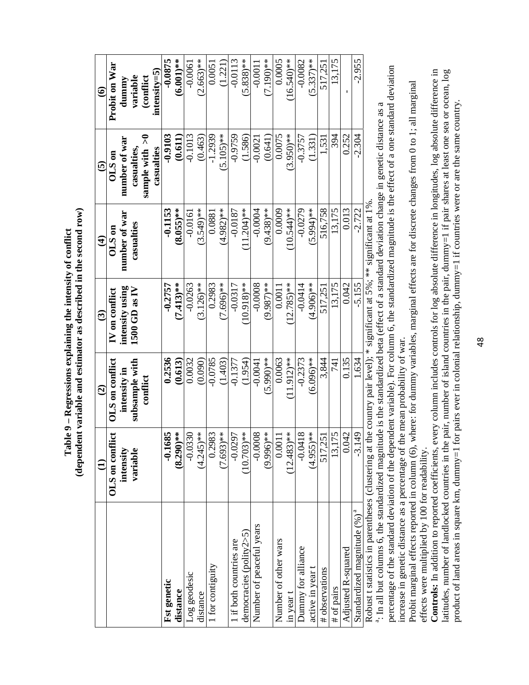|                                                                                                                                                          |                          | $\widehat{\mathbf{e}}$                                                 | $\widehat{\mathbf{c}}$ | $\mathbf{\hat{t}}$     | $\widehat{\mathbf{e}}$          | $\widehat{\bullet}$   |
|----------------------------------------------------------------------------------------------------------------------------------------------------------|--------------------------|------------------------------------------------------------------------|------------------------|------------------------|---------------------------------|-----------------------|
|                                                                                                                                                          | OLS on conflict          | OLS on conflict                                                        | IV on conflict         | $01.5$ on              | $01S$ on                        | <b>Probit on War</b>  |
|                                                                                                                                                          | intensity                | intensity in                                                           | intensity using        | number of war          | number of war                   | dummy                 |
|                                                                                                                                                          | variable                 | subsample with<br>conflict                                             | $1500$ GD as IV        | casualties             | sample with $>0$<br>casualties, | variable<br>(conflict |
|                                                                                                                                                          |                          |                                                                        |                        |                        | casualties                      | $intensity = 5$       |
| <b>Fst genetic</b>                                                                                                                                       | 685<br>$-0.16$           | 0.2536                                                                 | $-0.2757$              | $-0.1153$              | $-0.9103$                       | $-0.0875$             |
| distance                                                                                                                                                 | $(8.290)*$               | (0.613)                                                                | $(7.413)$ **           | $(8.055)$ **           | (0.611)                         | $(6.001)$ **          |
| Log geodesic                                                                                                                                             | 330<br>$-0.03$           | 0.0032                                                                 | $-0.0263$              | $-0.0161$              | $-0.1013$                       | $-0.0061$             |
| distance                                                                                                                                                 | $(4.245)$ **             | (0.090)                                                                | $3.126$ <sup>**</sup>  | $(3.549)$ **           | (0.463)                         | $(2.663)$ **          |
| 1 for contiguity                                                                                                                                         | 983<br>0.29              | $-0.0785$                                                              | 0.2983                 | 0.0881                 | $-1.2939$                       | 0.0051                |
|                                                                                                                                                          | $*$<br>$*$<br>(7.693)    | (1.403)                                                                | 7.696)**               | $(4.982)**$            | $(5.105)$ **                    | (1.221)               |
| 1 if both countries are                                                                                                                                  | $-0.0297$                | $-0.1377$                                                              | $-0.0317$              | $-0.0187$              | $-0.9759$                       | $-0.0113$             |
| democracies (polity2>5)                                                                                                                                  | $(10.703)$ **            | (1.954)                                                                | $(10.918)$ **          | $11.204$ <sup>**</sup> | (1.586)                         | $(5.838)$ **          |
| Number of peaceful years                                                                                                                                 | $-0.0008$                | $-0.0041$                                                              | $-0.0008$              | $-0.0004$              | $-0.0021$                       | $-0.0011$             |
|                                                                                                                                                          | $(9.996)*$               | $(5.990)**$                                                            | $(9.987)$ **           | $(9.438)$ **           | (0.641)                         | $(7.190)**$           |
| Number of other wars                                                                                                                                     | 0.0011                   | 0.0063                                                                 | 0.0011                 | 0.0009                 | 0.0075                          | 0.0005                |
| in year t                                                                                                                                                | $(12.483)$ **            | $11.912$ <sup>**</sup>                                                 | $12.785$ <sup>**</sup> | $10.544$ <sup>**</sup> | $(3.950)**$                     | 16.540)**             |
| Dummy for alliance                                                                                                                                       | $-0.0418$                | $-0.2373$                                                              | $-0.0414$              | $-0.0279$              | $-0.3757$                       | $-0.0082$             |
| active in year t                                                                                                                                         | $(4.955)$ **             | $(6.096)$ **                                                           | $4.906$ <sup>**</sup>  | $(5.994)$ **           | (1.331)                         | $(5.337)$ **          |
| # observations                                                                                                                                           | 517,251                  | 3,844                                                                  | 517,251                | 516.758                | 1.531                           | 517.251               |
| # of pairs                                                                                                                                               | 175<br>13,1              | 741                                                                    | 13,175                 | 13,175                 | 394                             | 13,175                |
| Adjusted R-squared                                                                                                                                       | 0.042                    | 0.135                                                                  | 0.042                  | 0.013                  | 0.252                           |                       |
| Standardized magnitude (%) <sup>a</sup>                                                                                                                  | $\frac{49}{5}$<br>$-3.1$ | .634                                                                   | $-5.155$               | $-2.722$               | -2.304                          | $-2.955$              |
| Robust t statistics in parentheses (clustering at                                                                                                        |                          | the country pair level); $*$ significant at 5%; $**$ significant at 1% |                        |                        |                                 |                       |
| <sup>4</sup> . In all but columns 6, the standardized magnitude is the standardized beta (effect of a standard deviation change in genetic distance as a |                          |                                                                        |                        |                        |                                 |                       |
| percentage of the standard deviation of the dependent variable). For column 6, the standardized magnitude is the effect of a one standard deviation      |                          |                                                                        |                        |                        |                                 |                       |
| increase in genetic distance as a percentage of                                                                                                          |                          | the mean probability of war                                            |                        |                        |                                 |                       |

**(dependent variable and estimator as described in the second row)**  (dependent variable and estimator as described in the second row) **Table 9 – Regressions explaining the intensity of conflict**  Table 9 - Regressions explaining the intensity of conflict

Probit marginal effects reported in column (6), where: for dummy variables, marginal effects are for discrete changes from 0 to 1; all marginal Probit marginal effects reported in column (6), where: for dummy variables, marginal effects are for discrete changes from 0 to 1; all marginal effects were multiplied by 100 for readability. effects were multiplied by 100 for readability.

Controls: In addition to reported coefficients, every column includes controls for log absolute difference in longitudes, log absolute difference in **Controls:** In addition to reported coefficients, every column includes controls for log absolute difference in longitudes, log absolute difference in latitudes, number of landlocked countries in the pair, number of island countries in the pair, dummy=1 if pair shares at least one sea or ocean, log latitudes, number of landlocked countries in the pair, number of island countries in the pair, dummy=1 if pair shares at least one sea or ocean, log product of land areas in square km, dummy=1 for pairs ever in colonial relationship, dummy=1 if countries were or are the same country. product of land areas in square km, dummy=1 for pairs ever in colonial relationship, dummy=1 if countries were or are the same country.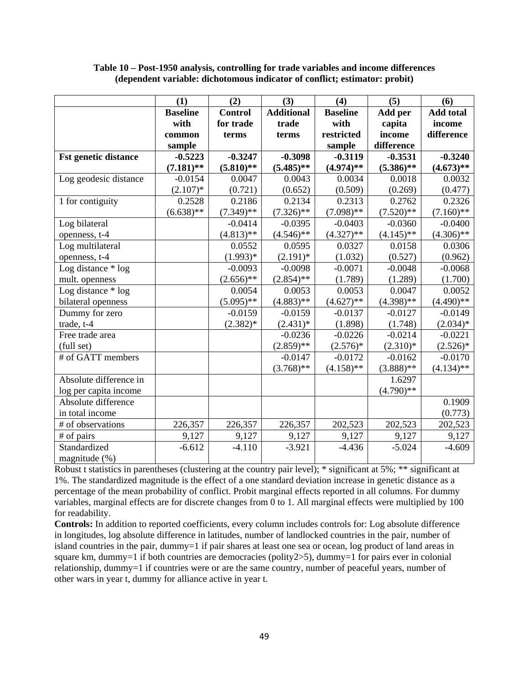|                             | (1)             | (2)            | (3)               | (4)             | (5)          | (6)              |
|-----------------------------|-----------------|----------------|-------------------|-----------------|--------------|------------------|
|                             | <b>Baseline</b> | <b>Control</b> | <b>Additional</b> | <b>Baseline</b> | Add per      | <b>Add total</b> |
|                             | with            | for trade      | trade             | with            | capita       | income           |
|                             | common          | terms          | terms             | restricted      | income       | difference       |
|                             | sample          |                |                   | sample          | difference   |                  |
| <b>Fst genetic distance</b> | $-0.5223$       | $-0.3247$      | $-0.3098$         | $-0.3119$       | $-0.3531$    | $-0.3240$        |
|                             | $(7.181)$ **    | $(5.810)$ **   | $(5.485)$ **      | $(4.974)$ **    | $(5.386)$ ** | $(4.673)$ **     |
| Log geodesic distance       | $-0.0154$       | 0.0047         | 0.0043            | 0.0034          | 0.0018       | 0.0032           |
|                             | $(2.107)^*$     | (0.721)        | (0.652)           | (0.509)         | (0.269)      | (0.477)          |
| 1 for contiguity            | 0.2528          | 0.2186         | 0.2134            | 0.2313          | 0.2762       | 0.2326           |
|                             | $(6.638)$ **    | $(7.349)$ **   | $(7.326)$ **      | $(7.098)$ **    | $(7.520)$ ** | $(7.160)$ **     |
| Log bilateral               |                 | $-0.0414$      | $-0.0395$         | $-0.0403$       | $-0.0360$    | $-0.0400$        |
| openness, t-4               |                 | $(4.813)$ **   | $(4.546)$ **      | $(4.327)$ **    | $(4.145)$ ** | $(4.306)$ **     |
| Log multilateral            |                 | 0.0552         | 0.0595            | 0.0327          | 0.0158       | 0.0306           |
| openness, t-4               |                 | $(1.993)*$     | $(2.191)^*$       | (1.032)         | (0.527)      | (0.962)          |
| Log distance * log          |                 | $-0.0093$      | $-0.0098$         | $-0.0071$       | $-0.0048$    | $-0.0068$        |
| mult. openness              |                 | $(2.656)$ **   | $(2.854)$ **      | (1.789)         | (1.289)      | (1.700)          |
| Log distance * log          |                 | 0.0054         | 0.0053            | 0.0053          | 0.0047       | 0.0052           |
| bilateral openness          |                 | $(5.095)$ **   | $(4.883)$ **      | $(4.627)$ **    | $(4.398)$ ** | $(4.490)$ **     |
| Dummy for zero              |                 | $-0.0159$      | $-0.0159$         | $-0.0137$       | $-0.0127$    | $-0.0149$        |
| trade, t-4                  |                 | $(2.382)*$     | $(2.431)^*$       | (1.898)         | (1.748)      | $(2.034)*$       |
| Free trade area             |                 |                | $-0.0236$         | $-0.0226$       | $-0.0214$    | $-0.0221$        |
| (full set)                  |                 |                | $(2.859)$ **      | $(2.576)^*$     | $(2.310)*$   | $(2.526)^*$      |
| # of GATT members           |                 |                | $-0.0147$         | $-0.0172$       | $-0.0162$    | $-0.0170$        |
|                             |                 |                | $(3.768)$ **      | $(4.158)$ **    | $(3.888)$ ** | $(4.134)$ **     |
| Absolute difference in      |                 |                |                   |                 | 1.6297       |                  |
| log per capita income       |                 |                |                   |                 | $(4.790)$ ** |                  |
| Absolute difference         |                 |                |                   |                 |              | 0.1909           |
| in total income             |                 |                |                   |                 |              | (0.773)          |
| # of observations           | 226,357         | 226,357        | 226,357           | 202,523         | 202,523      | 202,523          |
| # of pairs                  | 9,127           | 9,127          | 9,127             | 9,127           | 9,127        | 9,127            |
| Standardized                | $-6.612$        | $-4.110$       | $-3.921$          | $-4.436$        | $-5.024$     | $-4.609$         |
| magnitude (%)               |                 |                |                   |                 |              |                  |

**Table 10 – Post-1950 analysis, controlling for trade variables and income differences (dependent variable: dichotomous indicator of conflict; estimator: probit)** 

Robust t statistics in parentheses (clustering at the country pair level); \* significant at 5%; \*\* significant at 1%. The standardized magnitude is the effect of a one standard deviation increase in genetic distance as a percentage of the mean probability of conflict. Probit marginal effects reported in all columns. For dummy variables, marginal effects are for discrete changes from 0 to 1. All marginal effects were multiplied by 100 for readability.

**Controls:** In addition to reported coefficients, every column includes controls for: Log absolute difference in longitudes, log absolute difference in latitudes, number of landlocked countries in the pair, number of island countries in the pair, dummy=1 if pair shares at least one sea or ocean, log product of land areas in square km, dummy=1 if both countries are democracies (polity2>5), dummy=1 for pairs ever in colonial relationship, dummy=1 if countries were or are the same country, number of peaceful years, number of other wars in year t, dummy for alliance active in year t.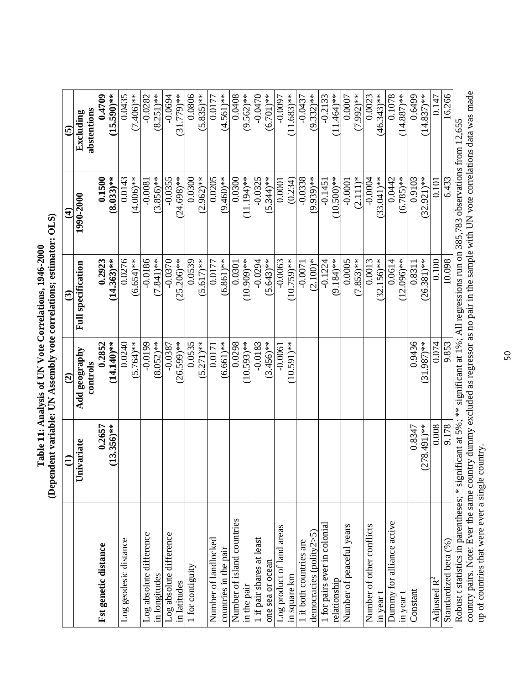|                                                                                                                                                                                                                                                                                   | $\ominus$      | $\widehat{c}$          | $\widehat{\mathcal{C}}$   | $\widehat{\mathbf{f}}$ | $\widetilde{\mathbf{e}}$ |
|-----------------------------------------------------------------------------------------------------------------------------------------------------------------------------------------------------------------------------------------------------------------------------------|----------------|------------------------|---------------------------|------------------------|--------------------------|
|                                                                                                                                                                                                                                                                                   | Univariate     | Add geography          | <b>Full specification</b> | 1990-2000              | Excluding                |
|                                                                                                                                                                                                                                                                                   |                | controls               |                           |                        | abstentions              |
| Fst genetic distance                                                                                                                                                                                                                                                              | 0.2657         | 0.2852                 | 0.2923                    | 0.1500                 | 0.4709                   |
|                                                                                                                                                                                                                                                                                   | $(13.356)$ **  | $(14.140)*$            | $14.363***$               | $(8.033)$ **           | $(15.590)$ **            |
| Log geodesic distance                                                                                                                                                                                                                                                             |                | 0.0240                 | 0.0276                    | 0.0143                 | 0.0435                   |
|                                                                                                                                                                                                                                                                                   |                | $(5.764)$ **           | $(6.654)$ **              | $(4.006)*$             | $(7.406)$ **             |
| Log absolute difference                                                                                                                                                                                                                                                           |                | $-0.0199$              | $-0.0186$                 | $-0.0081$              | $-0.0282$                |
| in longitudes                                                                                                                                                                                                                                                                     |                | $(8.052)$ **           | $(7.841)$ **              | $(3.856)$ **           | $(8.251)$ **             |
| Log absolute difference                                                                                                                                                                                                                                                           |                | $-0.0387$              | $-0.0370$                 | $-0.0355$              | $-0.0694$                |
| in latitudes                                                                                                                                                                                                                                                                      |                | $(26.599)$ **          | $25.206$ <sup>**</sup>    | 24.698)**              | $31.779$ <sup>**</sup>   |
| 1 for contiguity                                                                                                                                                                                                                                                                  |                | 0.0535                 | 0.0539                    | 0.0300                 | 0.0806                   |
|                                                                                                                                                                                                                                                                                   |                | $5.271$ <sup>**</sup>  | $5.617$ <sup>**</sup>     | $2.962$ <sup>**</sup>  | $5.835$ <sup>**</sup>    |
| Number of landlocked                                                                                                                                                                                                                                                              |                | 0.0171                 | 0.0177                    | 0.0205                 | 0.0177                   |
| countries in the pair                                                                                                                                                                                                                                                             |                | $(6.661)$ **           | $(6.861)$ **              | $(9.460)$ **           | $4.561$ <sup>**</sup>    |
| Number of island countries                                                                                                                                                                                                                                                        |                | 0.0298                 | 0.0301                    | 0.0300                 | 0.0408                   |
| in the pair                                                                                                                                                                                                                                                                       |                | $10.593$ <sup>**</sup> | 10.909)**                 | 11.194)**              | $(9.562)$ **             |
| 1 if pair shares at least                                                                                                                                                                                                                                                         |                | $-0.0183$              | $-0.0294$                 | $-0.0325$              | $-0.0470$                |
| one sea or ocean                                                                                                                                                                                                                                                                  |                | $(3.456)$ **           | $5.643$ <sup>**</sup>     | 5.344)**               | $(6.701)$ **             |
| Log product of land areas                                                                                                                                                                                                                                                         |                | $-0.0061$              | $-0.0063$                 | 0.0001                 | $-0.0097$                |
| in square km                                                                                                                                                                                                                                                                      |                | $(10.591)$ **          | $0.759$ <sup>**</sup>     | (0.234)                | $1.683$ <sup>**</sup>    |
| 1 if both countries are                                                                                                                                                                                                                                                           |                |                        | $-0.0071$                 | $-0.0338$              | $-0.0437$                |
| democracies (polity2>5)                                                                                                                                                                                                                                                           |                |                        | $(2.100)*$                | 9.939)**               | $9.332$ <sup>**</sup>    |
| 1 for pairs ever in colonial                                                                                                                                                                                                                                                      |                |                        | $-0.1224$                 | $-0.1451$              | $-0.2133$                |
| relationship                                                                                                                                                                                                                                                                      |                |                        | 9.184)**                  | $0.500$ <sup>**</sup>  | 1.464)**                 |
| Number of peaceful years                                                                                                                                                                                                                                                          |                |                        | 0.0005                    | $-0.0001$              | 0.0007                   |
|                                                                                                                                                                                                                                                                                   |                |                        | $.853$ <sup>**</sup>      | $(2.111)*$             | .992)**                  |
| Number of other conflicts                                                                                                                                                                                                                                                         |                |                        | 0.0013                    | $-0.0004$              | 0.0023                   |
| in year t                                                                                                                                                                                                                                                                         |                |                        | $(32.156)$ **             | 33.041)**              | $(46.343)$ **            |
| Dummy for alliance active                                                                                                                                                                                                                                                         |                |                        | 0.0614                    | 0.0442                 | 0.1078                   |
| in year t                                                                                                                                                                                                                                                                         |                |                        | $2.096$ <sup>**</sup>     | $(6.785)$ **           | $14.887$ <sup>**</sup>   |
| Constant                                                                                                                                                                                                                                                                          | 0.8347         | 0.9436                 | 0.8311                    | 0.9103                 | 0.6499                   |
|                                                                                                                                                                                                                                                                                   | $(278.491)$ ** | .987)**<br>$\omega$    | 26.381)**                 | 32.921)**              | 14.837)**                |
| Adjusted $R^2$                                                                                                                                                                                                                                                                    | 0.008          | 0.074                  | 0.100                     | 0.101                  | 0.147                    |
| Standardized beta (%)                                                                                                                                                                                                                                                             | 9.178          | 9.853                  | 10.098                    | 6.433                  | 6.266                    |
| country pairs. Note: Ever the same country dummy excluded as regressor as no pair in the sample with UN vote correlations data was made<br>Robust t statistics in parentheses; * significant at 5%; ** significant at 1%; All regressions run on 385,783 observations from 12,655 |                |                        |                           |                        |                          |
|                                                                                                                                                                                                                                                                                   |                |                        |                           |                        |                          |

up of countries that were ever a single country. up of countries that were ever a single country.